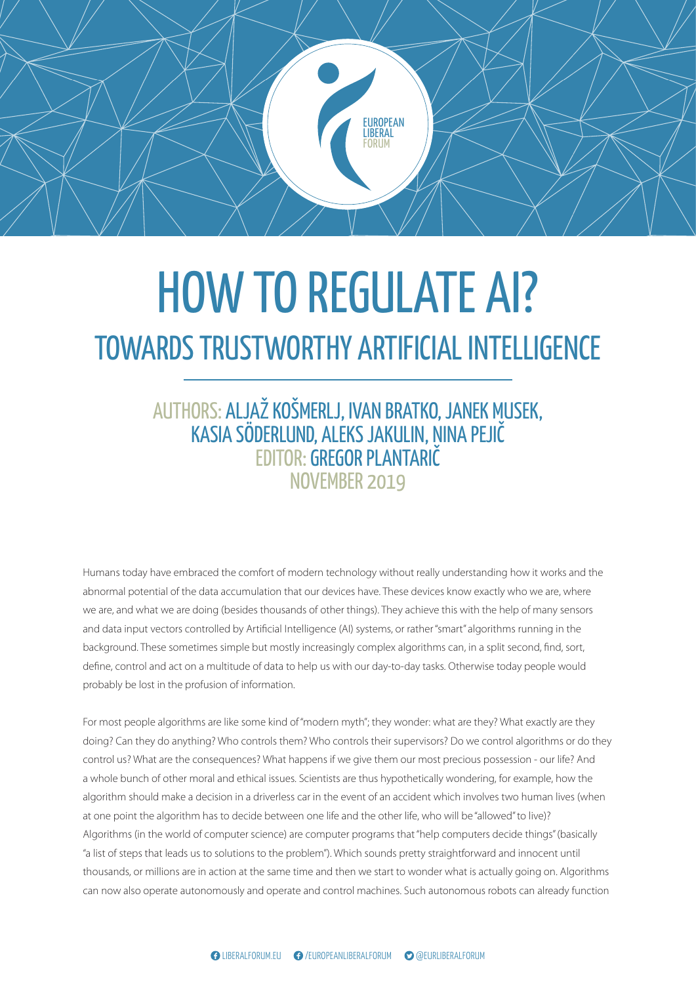

## OUT TO THOOBLE AT EXT<br>C TDUCTWODTUV ADTIEICIAL INITI JWAKUS TRUSTWUKTHY AKTIFICIAL INTELLIUEI S TRUSTWORTHY ARTIFICIAL INTI BALANCING EUROPEAN AND TANTU ICH LE INTELENCE HOW TO REGULATE AI? TOWARDS TRUSTWORTHY ARTIFICIAL INTELLIGENCE

## members and and increase between  $N$  over  $N$  over  $R$  and  $9$  and  $9$  and  $9$  and  $9$  and  $9$  and  $9$  and  $9$  and  $9$  and  $9$  and  $9$  and  $9$  and  $9$  and  $9$  and  $9$  and  $9$  and  $9$  and  $9$  and  $9$  and  $9$  and  $9$  and  $9$ EDITOR: **GREGOR PLANTARIČ**  $P(X \mid X \mid Y \cap Y)$  $T_{\rm eff}$  assumption of a classical realistic and idealistic and idealistic and idealistic and idealistic and idealistic and idealistic and idealistic and idealistic and idealistic and idealistic and idealistic and idealis members and Russia. AUTHORS: ALJAŽ KOŠMERLJ, IVAN BRATKO, JANEK MUSEK, KASIA SÖDERLUND, ALEKS JAKULIN, NINA PEJIČ

momans t we are, and what we are doing (besides thousands of other things). They achieve this with the help of many sensors and data input vectors controlled by Artificial Intelligence (AI) systems, or rather "smart" algorithms running in the background. These sometimes simple but mostly increasingly complex algorithms can, in a split second, find, sort, paper, and these comedities ample barmeon, increasingly complex arguments can, in a spin second, may sort, the second (NATO) in finding this balance, finding this balance, finding this balance, first with  $S$ probably be lost in the profusion of information.<br> Humans today have embraced the comfort of modern technology without really understanding how it works and the abnormal potential of the data accumulation that our devices have. These devices know exactly who we are, where future for EU-NATO-Russia relations. principle for the North Atlantic Credit Credit Concepts between the European the European theory in the summarised at  $\eta$ define, control and act on a multitude of data to help us with our day-to-day tasks. Otherwise today people would

For most people algorithms are like some kind of "modern myth"; they wonder: what are control us? What are the consequences? What happens if we give them our most precious possession - our life? And a whole bunch of other moral and ethical issues. Scientists are thus hypothetically wondering, for example, how the russia and the warmer relations, and and the warmer relations, for the warming the analysis, for an increase t<br>algorithm should make a decision in a driverless car in the event of an accident which involves two human lives the formal end of the cold war, even made discussions at one point the argonthminas to acclue settleen on Algorithms (in the world of computer science) are computer programs that "help computers decide things" (basically "a list of steps that leads us to solutions to the problem"). Which sounds pretty straightforward and innocent until thousands, or millions are in action at the same time and then we start to wonder what is actually going on. Algorithms For most people algorithms are like some kind of "modern myth"; they wonder: what are they? What exactly are they<br> board regarding their relations with Russian President at one point the algorithm has to decide between one life and the other life, who will be "allowed" to live)? doing? Can they do anything? Who controls them? Who controls their supervisors? Do we control algorithms or do they algontinin should make a uccision in a unveness can in can now also operate autonomously and operate and control machines. Such autonomous robots can already function in relations between the West and Russia. It made the West and Russia. It made the West and Russia. It made the algorithm should make a decision in a driverless car in the event of an accident which involves two human lives (when<br>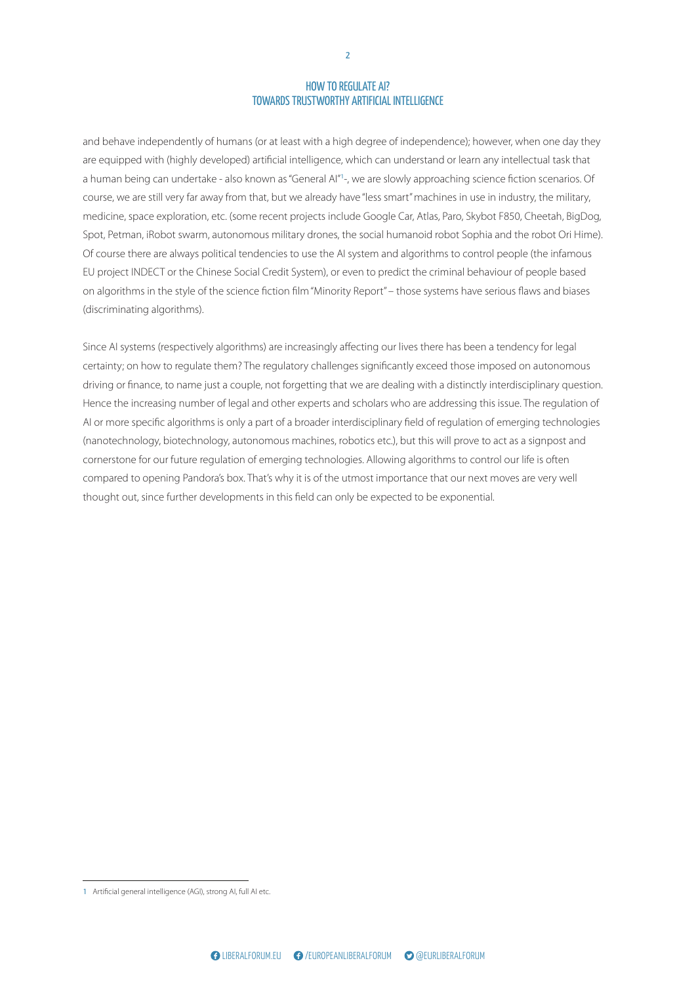$\frac{1}{2}$ and behave independently of humans (or at least with a high degree of independence); however, when one day they are equipped with (highly developed) artificial intelligence, which can understand or learn any intellectual task that a human being can undertake - also known as "General Al"<sup>1</sup>-, we are slowly approaching science fiction scenarios. Of course, we are still very far away from that, but we already have "less smart" machines in use in industry, the military, medicine, space exploration, etc. (some recent projects include Google Car, Atlas, Paro, Skybot F850, Cheetah, BigDog, Spot, Petman, iRobot swarm, autonomous military drones, the social humanoid robot Sophia and the robot Ori Hime). Of course there are always political tendencies to use the AI system and algorithms to control people (the infamous EU project INDECT or the Chinese Social Credit System), or even to predict the criminal behaviour of people based on algorithms in the style of the science fiction film "Minority Report" – those systems have serious flaws and biases (discriminating algorithms).

compared to opening Pandora's box. That's why it is of the utmost importance that our next moves are very well thought out, since further developments in this field can only be expected to be exponential. Since AI systems (respectively algorithms) are increasingly affecting our lives there has been a tendency for legal certainty; on how to regulate them? The regulatory challenges significantly exceed those imposed on autonomous<br>driving or finance, to name just a couple, not forgetting that we are dealing with a distinctly interdisciplina Hence the increasing number of legal and other experts and scholars who are addressing this issue. The regulation of certainty; on how to regulate them? The regulatory challenges significantly exceed those imposed on autonomous AI or more specific algorithms is only a part of a broader interdisciplinary field of regulation of emerging technologies (nanotechnology, biotechnology, autonomous machines, robotics etc.), but this will prove to act as a signpost and cornerstone for our future regulation of emerging technologies. Allowing algorithms to control our life is often

after the iron curtain fell, we can see that there is still 1 Artificial general intelligence (AGI), strong AI, full AI etc.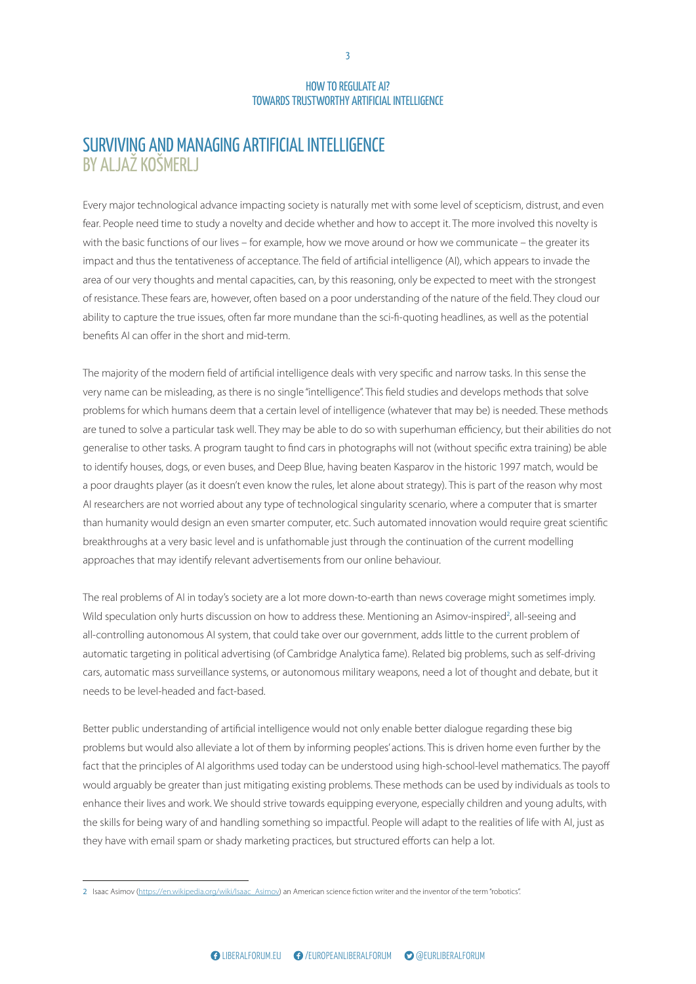#### EUROPEAN SURVIVIŅG AŅD MANAGING ARTIFICIAL INTELLIGENCE FORUM BY ALJAŽ KOŠMERLJ

the short and mid-term.<br>the short and mid-term. Every major technological advance impacting society is naturally met with some level of scepticism, distrust, and even fear. People need time to study a novelty and decide whether and how to accept it. The more involved this novelty is with the basic functions of our lives – for example, how we move around or how we communicate – the greater its impact and thus the tentativeness of acceptance. The field of artificial intelligence (AI), which appears to invade the area of our very thoughts and mental capacities, can, by this reasoning, only be expected to meet with the strongest of resistance. These fears are, however, often based on a poor understanding of the nature of the field. They cloud our ability to capture the true issues, often far more mundane than the sci-fi-quoting headlines, as well as the potential benefits AI can offer in the short and mid-term.

to identify houses, dogs, or even buses, and Deep Blue, having beaten Kasparov in the historic 1997 match, would be a poor araagms player (as it doesn't even know the rate AI researchers are not worried about any type of technological singularity scenario, where a computer that is smarter than humanity would design an even smarter computer, etc. Such automated innovation would require great scientific breakthroughs at a very basic level and is unfathomable just through the continuation of the current modelling approaches that may identify relevant advertisements from our online behaviour. a big power struggle for the space between NATO a poor draughts player (as it doesn't even know the rules, let alone about strategy). This is part of the reason why most ajority of the modern field of artificial intelligence deals with very specific and narrow tasks. In this sense<br>Ime can be misleading, as there is no single "intelligence". This field studies and develops methods that s problems for which humans deem that a certain level of intelligence (whatever that may be) is needed. These methods The majority of the modern field of artificial intelligence deals with very specific and narrow tasks. In this sense the very name can be misleading, as there is no single "intelligence". This field studies and develops methods that solve are tuned to solve a particular task well. They may be able to do so with superhuman efficiency, but their abilities do not generalise to other tasks. A program taught to find cars in photographs will not (without specific extra training) be able

The real problems of AI in today's society are a lot more down-to-earth than news coverage might sometimes imply. The speculation only hard abcassion of thow to a all-controlling autonomous AI system, that could take over our government, adds little to the current problem of automatic targeting in political advertising (of Cambridge Analytica fame). Related big problems, such as self-driving cars, automatic mass surveillance systems, or autonomous military weapons, need a lot of thought and debate, but it needs to be level-headed and fact-based. by presenting a liberal view on reasons for the current Wild speculation only hurts discussion on how to address these. Mentioning an Asimov-inspired<sup>2</sup>, all-seeing and

Better public understanding of artificial intelligence would not only enable better dialogue regarding these big problems but would also alleviate a lot of them by informing peoples' actions. This is driven home even further by the fact that the principles of AI algorithms used today can be understood using high-school-level mathematics. The payoff would arguably be greater than just mitigating existing problems. These methods can be used by individuals as tools to enhance their lives and work. We should strive towards equipping everyone, especially children and young adults, with the skills for being wary of and handling something so impactful. People will adapt to the realities of life with AI, just as they have with email spam or shady marketing practices, but structured efforts can help a lot.

after the iron curtain fell, we can see that there is still the cyberattack in Estonia in 2007 and the 5-day war 2 Isaac Asimov (https://en.wikipedia.org/wiki/Isaac\_Asimov) an American science fiction writer and the inventor of the term "robotics".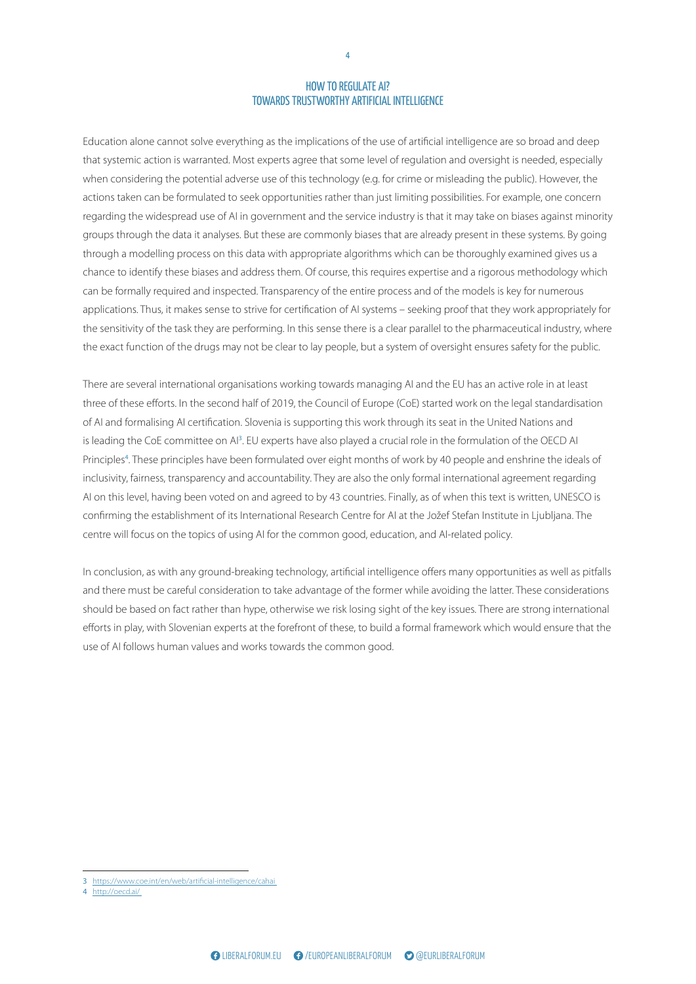$\overline{E}$ Education alone cannot solve everything as the implications of the use of artificial intelligence are so broad and deep that systemic action is warranted. Most experts agree that some level of regulation and oversight is needed, especially the sensitivity of the task they are performing. In this sense there is a clear parallel to the pharmaceutical industry, where<br>the exact function of the drugs may not be clear to lay people, but a system of oversight ensur when considering the potential adverse use of this technology (e.g. for crime or misleading the public). However, the actions taken can be formulated to seek opportunities rather than just limiting possibilities. For example, one concern regarding the widespread use of AI in government and the service industry is that it may take on biases against minority groups through the data it analyses. But these are commonly biases that are already present in these systems. By going through a modelling process on this data with appropriate algorithms which can be thoroughly examined gives us a chance to identify these biases and address them. Of course, this requires expertise and a rigorous methodology which can be formally required and inspected. Transparency of the entire process and of the models is key for numerous applications. Thus, it makes sense to strive for certification of AI systems – seeking proof that they work appropriately for the exact function of the drugs may not be clear to lay people, but a system of oversight ensures safety for the public.

inclusivity, fairness, transparency and accountability. They are also the only formal international agreement regarding AI on this level, having been voted on and agreed to by 43 countries. Finally, as of when this text is written, UNESCO is confirming the establishment of its International Research Centre for AI at the Jožef Stefan Institute in Ljubljana. The relations and security studies. The greatest challenge centre will local on the topics of asing more the co A discussion about the balance between deterrence centre will focus on the topics of using AI for the common good, education, and AI-related policy. -<br>There are several international organisations working towards managing AI and the EU has an active role in at least three of these efforts. In the second half of 2019, the Council of Europe (CoE) started work on the legal standardisation of AI and formalising AI certification. Slovenia is supporting this work through its seat in the United Nations and is leading the CoE committee on AI<sup>3</sup>. EU experts have also played a crucial role in the formulation of the OECD AI Principles<sup>4</sup>. These principles have been formulated over eight months of work by 40 people and enshrine the ideals of

In conclusion, as with any ground-breaking technology, artificial intelligence offers many opportunities as well as pitfalls and there must be careful consideration to take advantage of the former while avoiding the latter. These considerations efforts in play, with Slovenian experts at the forefront of these, to build a formal framework which would ensure that the use of AI follows human values and works towards the common good. should be based on fact rather than hype, otherwise we risk losing sight of the key issues. There are strong international deterrence and dialogue, as well as the division of tasks  $\mathcal{L}$  between the EU and NATO. These will be summarised at  $\mathcal{L}$ 

important. However, in higher three decades in higher three decades in higher three decades in the second decades in the second decades in the second decades in the second decades in the second decades in the second decade

<sup>3</sup> https://www.coe.int/en/web/artificial-intelligence/cahai

<sup>4</sup> http://oecd.ai/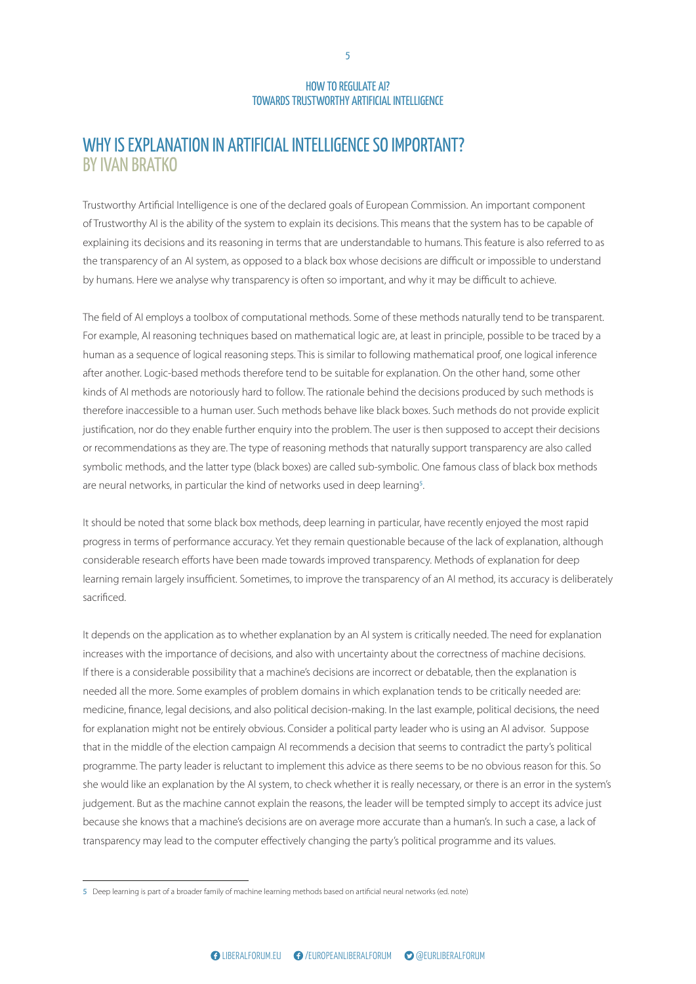#### ECORA WHY IS EXPLANATION IN ARTIFICIAL INTELLIGENCE SO IMPORTANT?  $\overline{\phantom{a}}$ BY IVAN BRATKO

Trustworthy Artificial Intelligence is one of the declared goals of European Commission. An important component of Trustworthy AI is the ability of the system to explain its decisions. This means that the system has to be capable of explaining its decisions and its reasoning in terms that are understandable to humans. This feature is also referred to as the transparency of an AI system, as opposed to a black box whose decisions are difficult or impossible to understand by humans. Here we analyse why transparency is often so important, and why it may be difficult to achieve.

symbolic methods, and the latter type (black boxes) are called sub-symbolic. One famous class of black box methods<br>are neural networks, in particular the kind of networks used in deep learning<sup>5</sup>. Ing techniques based on mathematical logic are, at least in principle, posi-<br>Dialogue: are, at least in principle, posi-<br>of logical reasoning steps. This is similar to following mathematical proof. ras a sequence or logical reasoning steps. This is similar to lollowing mathematical proof, one logical influen<br>hother. Logic-based methods therefore tend to be suitable for explanation. On the other hand, some other<br>of AL therefore inaccessible to a human user. Such methods behave like black boxes. Such methods do not provide explicit The field of AI employs a toolbox of computational methods. Some of these methods naturally tend to be transparent. For example, AI reasoning techniques based on mathematical logic are, at least in principle, possible to be traced by a human as a sequence of logical reasoning steps. This is similar to following mathematical proof, one logical inference after another. Logic-based methods therefore tend to be suitable for explanation. On the other hand, some other kinds of AI methods are notoriously hard to follow. The rationale behind the decisions produced by such methods is justification, nor do they enable further enquiry into the problem. The user is then supposed to accept their decisions or recommendations as they are. The type of reasoning methods that naturally support transparency are also called

It should be noted that some black box methods, deep learning in particular, have recently enjoyed the most rapid progress in terms of performance accuracy. Yet they remain questionable because of the lack of explanation, although considerable research efforts have been made towards improved transparency. Methods of explanation for deep learning remain largely insufficient. Sometimes, to improve the transparency of an AI method, its accuracy is deliberately sacrificed.

it depends on the application as to whether explan increases with the importance of decisions, and also with uncertainty about the correctness of machine decisions. If there is a considerable possibility that a machine's decisions are incorrect or debatable, then the explanation is needed all the more. Some examples of problem domains in which explanation tends to be critically needed are: medicine, finance, legal decisions, and also political decision-making. In the last example, political decisions, the need for explanation might not be entirely obvious. Consider a political party leader who is using an AI advisor. Suppose that in the middle of the election campaign AI recommends a decision that seems to contradict the party's political programme. The party leader is reluctant to implement this advice as there seems to be no obvious reason for this. So she would like an explanation by the AI system, to check whether it is really necessary, or there is an error in the system's judgement. But as the machine cannot explain the reasons, the leader will be tempted simply to accept its advice just because she knows that a machine's decisions are on average more accurate than a human's. In such a case, a lack of transparency may lead to the computer effectively changing the party's political programme and its values. It depends on the application as to whether explanation by an AI system is critically needed. The need for explanation

after the iron curtain fell, we can see that there is still the cyberattack in Estonia in 2007 and the 5-day war 5 Deep learning is part of a broader family of machine learning methods based on artificial neural networks (ed. note)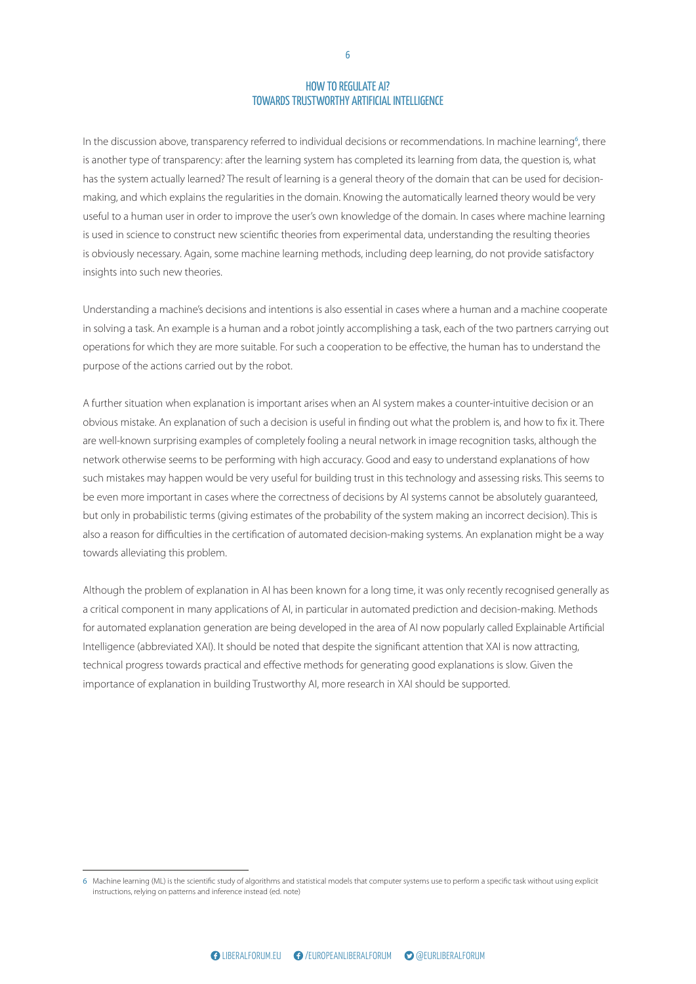$\frac{1}{2}$ In the discussion above, transparency referred to individual decisions or recommendations. In machine learning<sup>6</sup>, there is another type of transparency: after the learning system has completed its learning from data, the question is, what has the system actually learned? The result of learning is a general theory of the domain that can be used for decisionmaking, and which explains the regularities in the domain. Knowing the automatically learned theory would be very useful to a human user in order to improve the user's own knowledge of the domain. In cases where machine learning is used in science to construct new scientific theories from experimental data, understanding the resulting theories is obviously necessary. Again, some machine learning methods, including deep learning, do not provide satisfactory insights into such new theories.

in solving a task. An example is a human and a robot jointly accomplishing a task, each of the two partners carrying out<br>operations for which they are more suitable. For such a cooperation to be effective, the human has to purpose of the actions carried out by the robot.<br> Understanding a machine's decisions and intentions is also essential in cases where a human and a machine cooperate operations for which they are more suitable. For such a cooperation to be effective, the human has to understand the

such mistakes may happen would be very useful for building trust in this technology and assessing risks. This seems to be even more important in cases where the correctness of decisions by AI systems cannot be absolutely guaranteed, but only in probabilistic terms (giving estimates of the probability of the system making an incorrect decision). This is relations and security studies. The greatest challenge abo a reason for anneardes in the centification or ad towards alleviating this problem. A discussion about the balance between deterrence also a reason for difficulties in the certification of automated decision-making systems. An explanation might be a way<br> A further situation when explanation is important arises when an AI system makes a counter-intuitive decision or an<br>obvious mistake. An explanation of such a decision is useful in finding out what the problem is, and how to fix it. There are well-known surprising examples of completely fooling a neural network in image recognition tasks, although the network otherwise seems to be performing with high accuracy. Good and easy to understand explanations of how

Although the problem of explanation in AI has been known for a long time, it was only recently recognised generally as for automated explanation generation are being developed in the area of AI now popularly called Explainable Artificial Intelligence (abbreviated XAI). It should be noted that despite the significant attention that XAI is now attracting, known as the Harmel report, has been the guiding progress towards practical and checave the importance of explanation in building Trustworthy AI, more research in XAI should be supported. a critical component in many applications of AI, in particular in automated prediction and decision-making. Methods between the EU and NATO. These will be summarised at technical progress towards practical and effective methods for generating good explanations is slow. Given the<br>

important. However, in high state  $\sim$ 

<sup>6</sup> Machine learning (ML) is the scientific study of algorithms and statistical models that computer systems use to perform a specific task without using explicit<br>Settimates and increased information interacted (and acts) instructions, relying on patterns and inference instead (ed. note)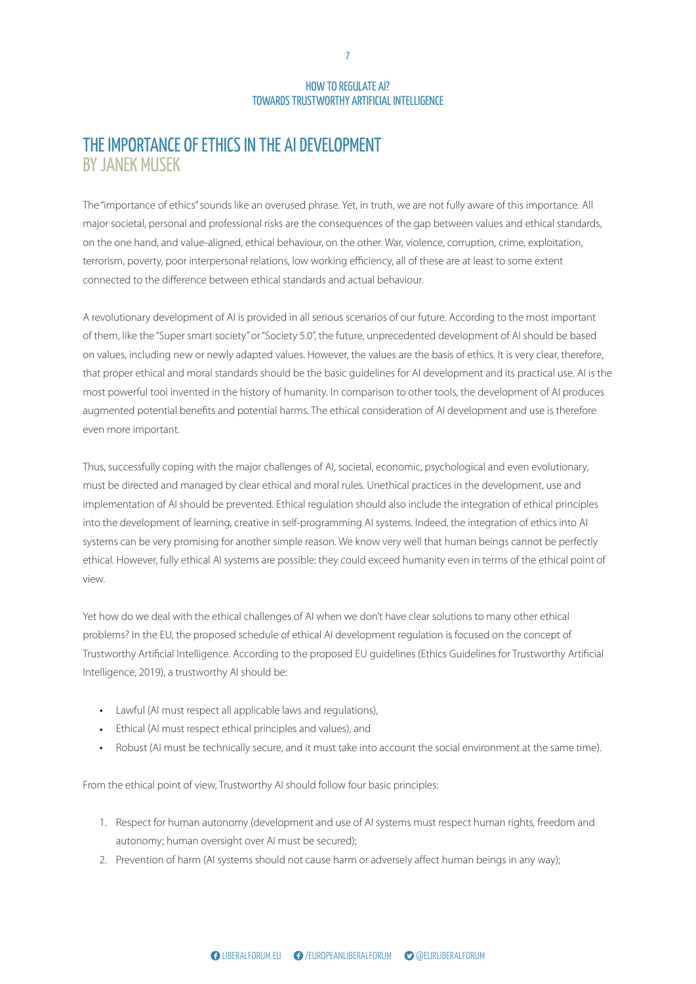#### EUROPEAN THE IMPORTANCE OF ETHICS IN THE AI DEVELOPMENT FORUM BY JANEK MUSEK

The "importance of ethics" sounds like an overused phrase. Yet, in truth, we are not fully aware of this importance. All major societal, personal and professional risks are the consequences of the gap between values and ethical standards, on the one hand, and value-aligned, ethical behaviour, on the other. War, violence, corruption, crime, exploitation, terrorism, poverty, poor interpersonal relations, low working efficiency, all of these are at least to some extent connected to the difference between ethical standards and actual behaviour.

Finent of Aris provided in an serious seenands or our rature. According to<br>Smart society" or "Society 5.0", the future, unprecedented development c<br>w or newly adapted values. However, the values are the basis of ethics. It res, including new or newly adapted values. However, the values are the basis of ethics. It is very clear, the<br>oper ethical and moral standards should be the basic guidelines for AI development and its practical us<br>owerful augmented potential benefits and potential harms. The ethical consideration of AI development and use is therefore A revolutionary development of AI is provided in all serious scenarios of our future. According to the most important of them, like the "Super smart society" or "Society 5.0", the future, unprecedented development of AI should be based on values, including new or newly adapted values. However, the values are the basis of ethics. It is very clear, therefore, that proper ethical and moral standards should be the basic guidelines for AI development and its practical use. AI is the most powerful tool invented in the history of humanity. In comparison to other tools, the development of AI produces even more important.

Thus, successfully coping with the major challenges of AI, societal, economic, psychological and even evolutionary, must be unceled and managed by clear clinear and mo implementation of AI should be prevented. Ethical regulation should also include the integration of ethical principles into the development of learning, creative in self-programming AI systems. Indeed, the integration of ethics into AI systems can be very promising for another simple reason. We know very well that human beings cannot be perfectly ethical. However, fully ethical AI systems are possible: they could exceed humanity even in terms of the ethical point of  $\alpha$ iov $\alpha$ a big power struggle for the space between NATO must be directed and managed by clear ethical and moral rules. Unethical practices in the development, use and<br> view.

Techow do we dear with the ethical chanenges of problems? In the EU, the proposed schedule of ethical AI development regulation is focused on the concept of Trustworthy Artificial Intelligence. According to the proposed EU guidelines (Ethics Guidelines for Trustworthy Artificial Intelligence, 2019), a trustworthy AI should be: by presenting a liberal view on reasons for the current Yet how do we deal with the ethical challenges of AI when we don't have clear solutions to many other ethical

- Lawful (AI must respect all applicable laws and regulations),
- Ethical (AI must respect ethical principles and values), and
- Robust (AI must be technically secure, and it must take into account the social environment at the same time).

From the ethical point of view, Trustworthy AI should follow four basic principles:

- 1. Respect for human autonomy (development and use of AI systems must respect human rights, freedom and autonomy; human oversight over AI must be secured);
- 2. Prevention of harm (AI systems should not cause harm or adversely affect human beings in any way); important. However, in hindsight, almost three decades showed through different through diplomatic  $\frac{1}{2}$

7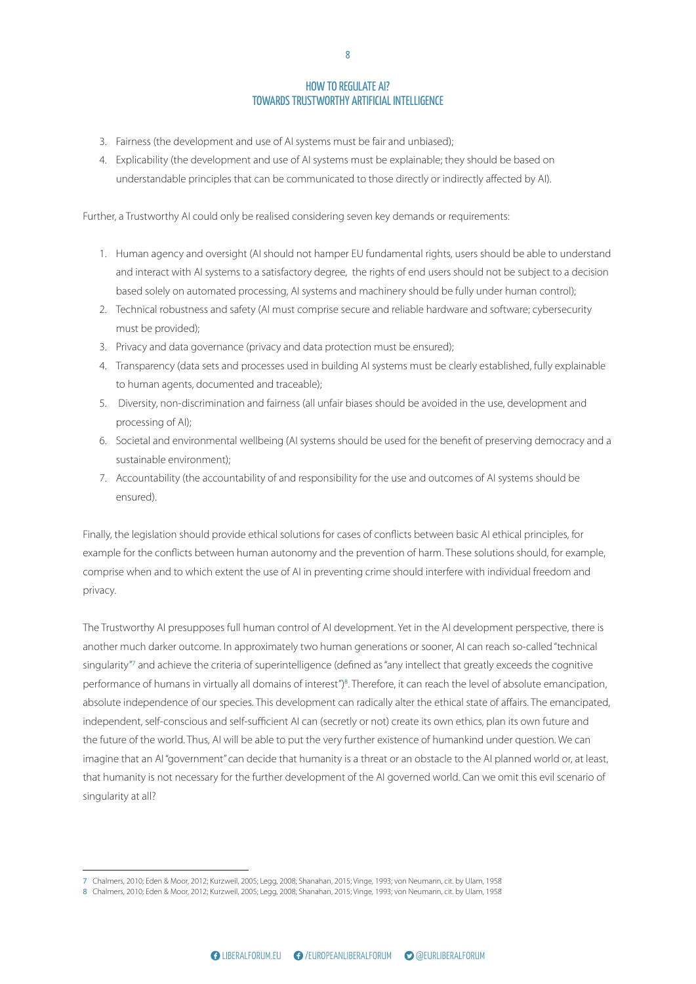- e foir and 3. Fairness (the development and use of AI systems must be fair and unbiased);
- 4. Explicability (the development and use of AI systems must be explainable; they should be based on understandable principles that can be communicated to those directly or indirectly affected by AI).

Further, a Trustworthy AI could only be realised considering seven key demands or requirements:

- 1. Human agency and oversight (AI should not hamper EU fundamental rights, users should be able to understand and interact with AI systems to a satisfactory degree, the rights of end users should not be subject to a decision based solely on automated processing, AI systems and machinery should be fully under human control);
- must be provided);<br>3. Privacy and data governance (privacy and data protection must be ensured); 2. Technical robustness and safety (AI must comprise secure and reliable hardware and software; cybersecurity must be provided);
- 
- 4. Transparency (data sets and processes used in building AI systems must be clearly established, fully explainable<br>to human agents, documented and traceable); to human agents, documented and traceable);
- 5. Diversity, non-discrimination and fairness (all unfair biases should be avoided in the use, development and<br>processing of AI);
- 6. Societal and environmental wellbeing (AI systems should be used for the benefit of preserving democracy and a sustainable environment);
- Fig. accountability (the accountability of and responsibility for the use and outcomes of AI systems should be ensured).

relations and security studies. The greatest challenge is thanged to regionation brioting provide ethical boldtle example for the conflicts between human autonomy and the prevention of harm. These solutions should, for example, comprise when and to which extent the use of AI in preventing crime should interfere with individual freedom and privacy. A discussion about the balance between deterrence Finally, the legislation should provide ethical solutions for cases of conflicts between basic AI ethical principles, for

The Trustworthy AI presupposes full human control of AI development. Yet in the AI development perspective, there is another much darker outcome. In approximately two human generations or sooner, AI can reach so-called "technical known as the Harmel report, has been the guiding prigaturity and atmosphere the enteria or pupermitelinge performance of humans in virtually all domains of interest")<sup>8</sup>. Therefore, it can reach the level of absolute emancipation, absolute independence of our species. This development can radically alter the ethical state of affairs. The emancipated, independent, self-conscious and self-sufficient AI can (secretly or not) create its own ethics, plan its own future and<br> the future of the world. Thus, AI will be able to put the very further existence of humankind under question. We can that humanity is not necessary for the further development of the AI governed world. Can we omit this evil scenario of rapprochement in the 1990s and early 2000s between Russia and the West. The warmer relations, following between the EU and NATO. These will be summarised at singularity"<sup>7</sup> and achieve the criteria of superintelligence (defined as "any intellect that greatly exceeds the cognitive in relations between the West and Russia. It made imagine that an AI "government" can decide that humanity is a threat or an obstacle to the AI planned world or, at least, singularity at all?

important. However, in high state  $\sim$ 

<sup>7</sup> Chalmers, 2010; Eden & Moor, 2012; Kurzweil, 2005; Legg, 2008; Shanahan, 2015; Vinge, 1993; von Neumann, cit. by Ulam, 1958<br>8. Chalmers, 2010; Eden & Mars, 2013; Kurzweil, 2005; Legg, 2009; Shanahan, 2015; Vinge, 1903

<sup>8</sup> Chalmers, 2010; Eden & Moor, 2012; Kurzweil, 2005; Legg, 2008; Shanahan, 2015; Vinge, 1993; von Neumann, cit. by Ulam, 1958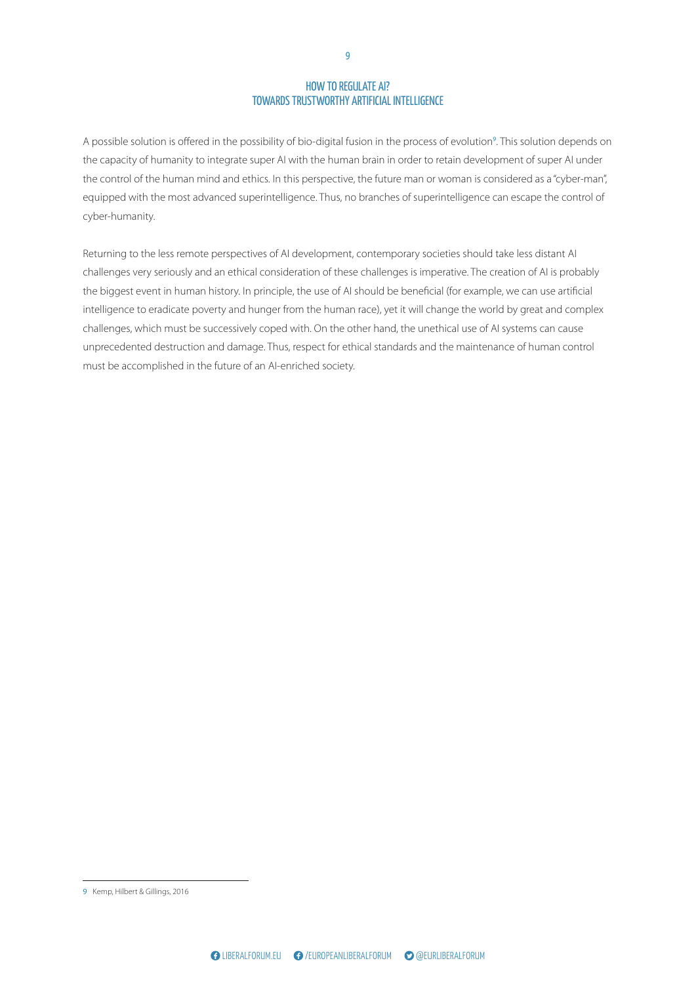$\overline{E}$ A possible solution is offered in the possibility of bio-digital fusion in the process of evolution<sup>9</sup>. This solution depends on the capacity of humanity to integrate super AI with the human brain in order to retain development of super AI under the control of the human mind and ethics. In this perspective, the future man or woman is considered as a "cyber-man", equipped with the most advanced superintelligence. Thus, no branches of superintelligence can escape the control of cyber-humanity.

challenges, which must be successively coped with. On the other hand, the unethical use of AI systems can cause<br>unprecedented destruction and damage. Thus, respect for ethical standards and the maintenance of human control must be accomplished in the future of an AI-enriched society.<br>
<sub>N</sub> Returning to the less remote perspectives of AI development, contemporary societies should take less distant AI challenges very seriously and an ethical consideration of these challenges is imperative. The creation of AI is probably the biggest event in human history. In principle, the use of AI should be beneficial (for example, we can use artificial intelligence to eradicate poverty and hunger from the human race), yet it will change the world by great and complex challenges, which must be successively coped with. On the other hand, the unethical use of AI systems can cause

after the iron curtain fell, we can see that there is still 9 Kemp, Hilbert & Gillings, 2016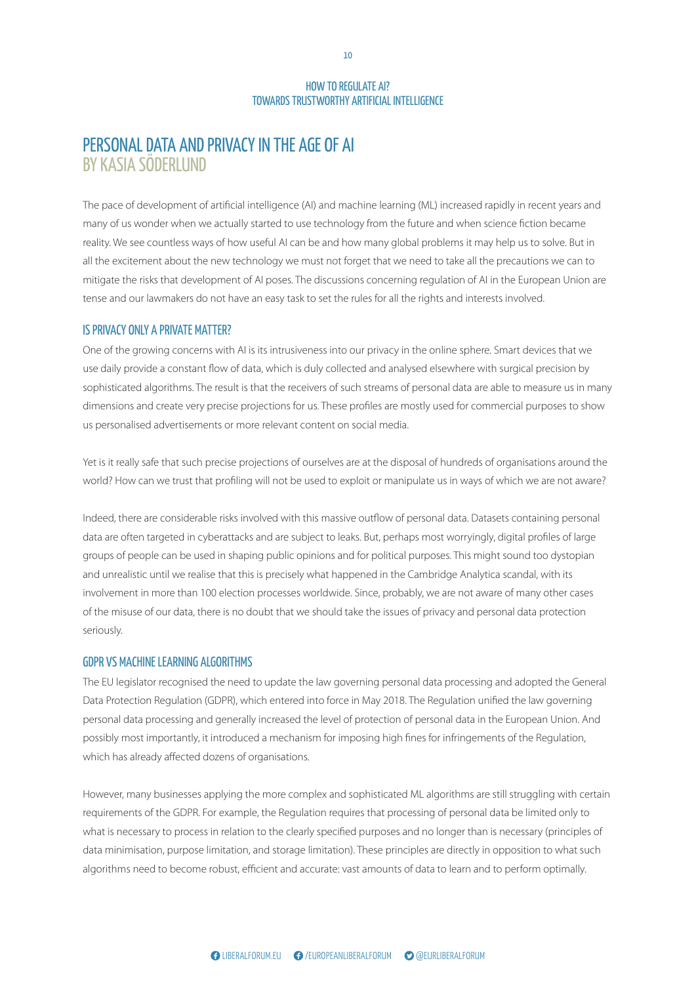## PERSONAL DATA AND PRIVACY IN THE AGE OF AI BY KASIA SÖDERLUND

The pace of development of artificial intelligence (AI) and machine learning (ML) increased rapidly in recent years and many of us wonder when we actually started to use technology from the future and when science fiction became reality. We see countless ways of how useful AI can be and how many global problems it may help us to solve. But in all the excitement about the new technology we must not forget that we need to take all the precautions we can to mitigate the risks that development of AI poses. The discussions concerning regulation of AI in the European Union are tense and our lawmakers do not have an easy task to set the rules for all the rights and interests involved.

#### IS PRIVACY ONLY A PRIVATE MATTER?

<mark>IS PRIVACY ONLY A PRIVATE MATTER?</mark><br>One of the growing concerns with AI is its intrusiveness into our privacy in the online sphere. Smart devices that we use daily provide a constant flow of data, which is duly collected and analysed elsewhere with surgical precision by<br>Sophisticated algorithms. The result is that the receivers of such streams of personal data are able to m dimensions and create very precise projections for us. These profiles are mostly used for commercial purposes to show sophisticated algorithms. The result is that the receivers of such streams of personal data are able to measure us in many us personalised advertisements or more relevant content on social media.

Yet is it really safe that such precise projections of ourselves are at the disposal of hundreds of organisations around the world? How can we trust that profiling will not be used to exploit or manipulate us in ways of which we are not aware?

worldviews is a classical building block of international Indeed, there are considerable risks involved with this massive outflow of personal data. Datasets containing personal data are often targeted in cyberattacks and are subject to leaks. But, perhaps most worryingly, digital profiles of large groups of people can be used in shaping public opinions and for political purposes. This might sound too dystopian and unrealistic until we realise that this is precisely what happened in the Cambridge Analytica scandal, with its involvement in more than 100 election processes worldwide. Since, probably, we are not aware of many other cases Ever since its adoption in 1967, The Report of the Council on the Future Tasks of the Alliance, better of the misuse of our data, there is no doubt that we should take the issues of privacy and personal data protection seriously.

## GDPR VS MACHINE LEARNING ALGORITHMS

The Lonegistator recognised the neca to apadle the la Data Protection Regulation (GDPR), which entered into force in May 2018. The Regulation unified the law governing personal data processing and generally increased the level of protection of personal data in the European Union. And personal data processing and generally increased the level of proceedion or personal data<br>possibly most importantly, it introduced a mechanism for imposing high fines for infring The EU legislator recognised the need to update the law governing personal data processing and adopted the General<br>. possibly most importantly, it introduced a mechanism for imposing high fines for infringements of the Regulation, which has already affected dozens of organisations.

However, many businesses applying the more complex and sophisticated ML algorithms are still struggling with certain Russia and the West. The warmer relations, following tequierments of the GDT it, for example, the negation is what is necessary to process in relation to the clearly specified purposes and no longer than is necessary (principles of data minimisation, purpose limitation, and storage limitation). These principles are directly in opposition to what such algorithms need to become robust, efficient and accurate: vast amounts of data to learn and to perform optimally. many EU and NATO members go back to the drawing go back to the drawing to the drawing to the drawing to the drawing to the drawing to the drawing to the drawing to the drawing to the drawing to the drawing to the drawing t requirements of the GDPR. For example, the Regulation requires that processing of personal data be limited only to

10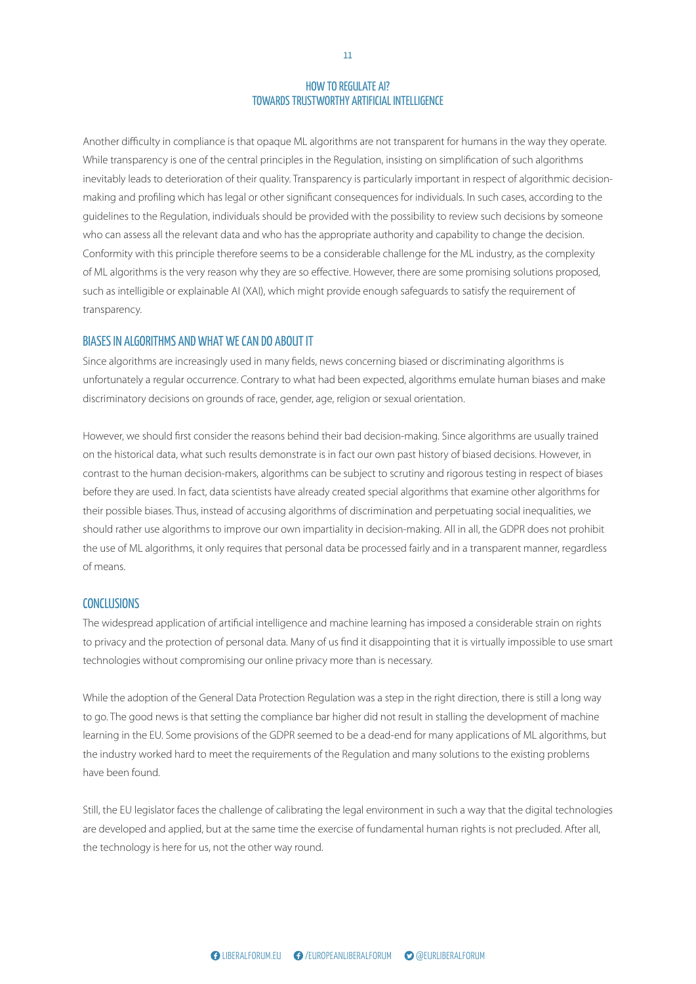$\frac{1}{2}$ Another difficulty in compliance is that opaque ML algorithms are not transparent for humans in the way they operate. While transparency is one of the central principles in the Regulation, insisting on simplification of such algorithms inevitably leads to deterioration of their quality. Transparency is particularly important in respect of algorithmic decisionmaking and profiling which has legal or other significant consequences for individuals. In such cases, according to the guidelines to the Regulation, individuals should be provided with the possibility to review such decisions by someone who can assess all the relevant data and who has the appropriate authority and capability to change the decision. Conformity with this principle therefore seems to be a considerable challenge for the ML industry, as the complexity of ML algorithms is the very reason why they are so effective. However, there are some promising solutions proposed, such as intelligible or explainable AI (XAI), which might provide enough safeguards to satisfy the requirement of transparency.

# BIASES IN ALGORITHMS AND WHAT WE CAN DO ABOUT IT

Since algorithms are increasingly used in many fields, news concerning biased or discriminating algorithms is<br>unfortunately a regular occurrence. Contrary to what had been expected, algorithms emulate human biases and make discriminatory decisions on grounds of race, gender, age, religion or sexual orientation.<br>. Since algorithms are increasingly used in many fields, news concerning biased or discriminating algorithms is

contrast to the human decision-makers, algorithms can be subject to scrutiny and rigorous testing in respect of biases before they are used. In fact, data scientists have already created special algorithms that examine other algorithms for their possible biases. Thus, instead of accusing algorithms of discrimination and perpetuating social inequalities, we should rather use algorithms to improve our own impartiality in decision-making. All in all, the GDPR does not prohibit the use of ML algorithms, it only requires that personal data be processed fairly and in a transparent manner, regardless and pursuing good relations, while at the same time  $\alpha$  in carrier is a seizing over the seizing the seizing the seizing the seizing the seizing the seizing the seizing the seizing the seizing the seizing the seizing the seizing the seizing the seizing the seizing the sei between the European Union (EU) and Russia are also However, we should first consider the reasons behind their bad decision-making. Since algorithms are usually trained on the historical data, what such results demonstrate is in fact our own past history of biased decisions. However, in of means.

#### **CONCLUSIONS**

The widespread application of artificial intelligence and machine learning has imposed a considerable strain on rights to privacy and the protection of personal data. Many of us find it disappointing that it is virtually impossible to use smart technologies without compromising our online privacy more than is necessary.

(NATO) in finding this balance, first with Soviet Union with the dasption of the defieral bata riotection hegy to go. The good news is that setting the compliance bar higher did not result in stalling the development of machine<br> learning in the EU. Some provisions of the GDPR seemed to be a dead-end for many ap have been found. While the adoption of the General Data Protection Regulation was a step in the right direction, there is still a long way learning in the EU. Some provisions of the GDPR seemed to be a dead-end for many applications of ML algorithms, but the industry worked hard to meet the requirements of the Regulation and many solutions to the existing problems

Still, the EU legislator faces the challenge of calibrating the legal environment in such a way that the digital technologies the formal end of the cold war, even made discussions are acveraged and applied, but at the same time the the technology is here for us, not the other way round. board regarding their relations with Russian President are developed and applied, but at the same time the exercise of fundamental human rights is not precluded. After all,<br>.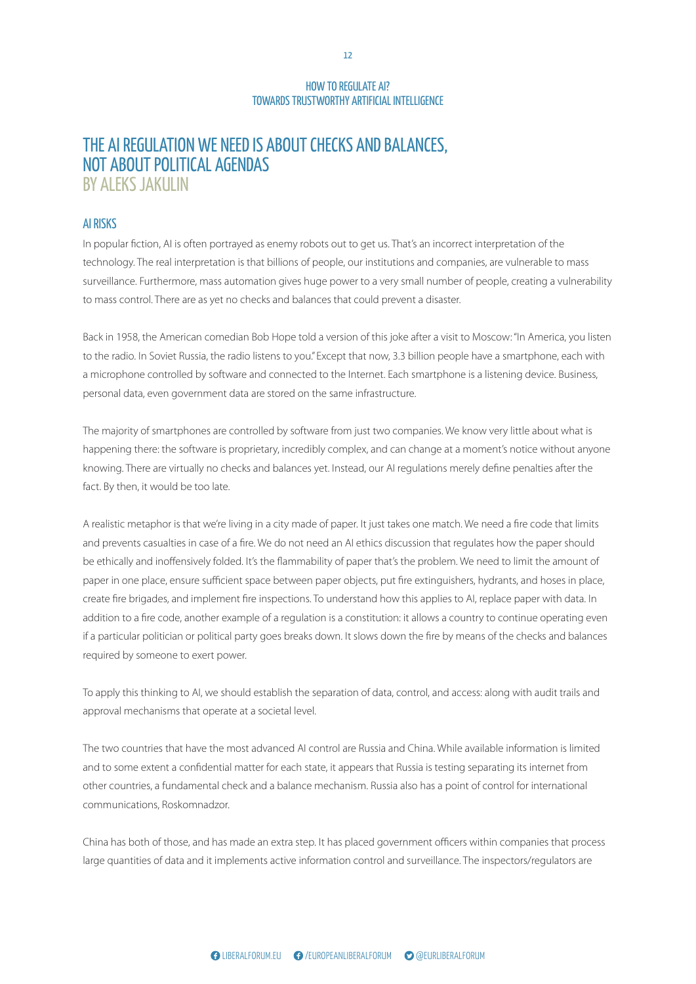#### EUROPEAN ND BA THE AI REGULATION WE NEED IS ABOUT CHECKS AND BALANCES, NOT ABOUT POLITICAL AGENDAS BY ALEKS JAKULIN

#### AI RISKS

In popular fiction, AI is often portrayed as enemy robots out to get us. That's an incorrect interpretation of the technology. The real interpretation is that billions of people, our institutions and companies, are vulnerable to mass surveillance. Furthermore, mass automation gives huge power to a very small number of people, creating a vulnerability to mass control. There are as yet no checks and balances that could prevent a disaster.

ican comedian Bob Hope told a version of this joke after a visit to Moscov<br>Sussia the radio listens to you"Excent that now 3.3 billion people have as radio. In soviet Russia, the radio listens to you. Except that now, 3.3 billion people nave a smartphone, ea<br>ophone controlled by software and connected to the Internet. Each smartphone is a listening device. Bu<br>al data, o Back in 1958, the American comedian Bob Hope told a version of this joke after a visit to Moscow: "In America, you listen to the radio. In Soviet Russia, the radio listens to you." Except that now, 3.3 billion people have a smartphone, each with a microphone controlled by software and connected to the Internet. Each smartphone is a listening device. Business, personal data, even government data are stored on the same infrastructure.

knowing. There are virtually no checks and balances yet. Instead, our AI regulations merely define penalties after the<br> fact. By then, it would be too late. The majority of smartphones are controlled by software from just two companies. We know very little about what is happening there: the software is proprietary, incredibly complex, and can change at a moment's notice without anyone

A realistic metaphor is that we're living in a city made of paper. It just takes one match. We need a fire code that limits and prevents casualties in case of a fire. We do not need an AI ethics discussion that regulates how the paper should be ethically and inoffensively folded. It's the flammability of paper that's the problem. We need to limit the amount of paper in one place, ensure sufficient space between paper objects, put fire extinguishers, hydrants, and hoses in place, moment. stance. This paper sets out to stress this importance, addition to a fire code, another example of a regulation is a constitution: it allows a country to continue operating even if a particular politician or political party goes breaks down. It slows down the fire by means of the checks and balances required by someone to exert power. create fire brigades, and implement fire inspections. To understand how this applies to AI, replace paper with data. In

To apply this thinking to AI, we should establish the separation of data, control, and access: along with audit trails and approval mechanisms that operate at a societal level. through the principle of a credible military deterrence,

The two countries that have the most advanced AI control are Russia and China. While available information is limited and to some extent a confidential matter for each state, it appears that Russia is testing separating its internet from other countries, a fundamental check and a balance mechanism. Russia also has a point of control for international communications, Roskomnadzor.

China has both of those, and has made an extra step. It has placed government officers within companies that process deterrence in regard to relations with Russia felt less important. However, in the decade three decades in the final was easy before 2014. Hints of what was yet to come 2014. Hints of what was yet to come 2014. Hints of what was large quantities of data and it implements active information control and surveillance. The inspectors/regulators are<br>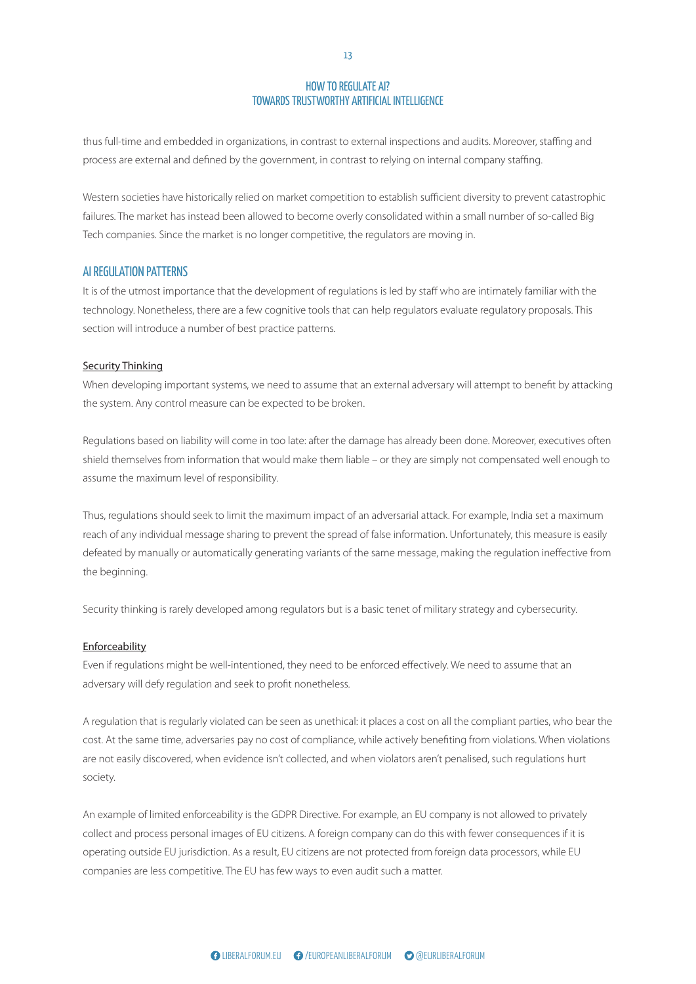torpal incr thus full-time and embedded in organizations, in contrast to external inspections and audits. Moreover, staffing and process are external and defined by the government, in contrast to relying on internal company staffing.

Western societies have historically relied on market competition to establish sufficient diversity to prevent catastrophic failures. The market has instead been allowed to become overly consolidated within a small number of so-called Big Tech companies. Since the market is no longer competitive, the regulators are moving in.

#### AI REGULATION PATTERNS

section will introduce a number of best practice patterns.<br>
Section will introduce a number of best practice patterns. It is of the utmost importance that the development of regulations is led by staff who are intimately familiar with the technology. Nonetheless, there are a few cognitive tools that can help regulators evaluate regulatory proposals. This

#### Security Thinking

<u>Se<mark>curity Thinking</mark></u><br>When developing important systems, we need to assume that an external adversary will attempt to benefit by attacking the system. Any control measure can be expected to be broken.

assume the maximum level of responsibility. Regulations based on liability will come in too late: after the damage has already been done. Moreover, executives often shield themselves from information that would make them liable – or they are simply not compensated well enough to

.<br>Thus, regulations should seek to limit the maximum impact of an adversarial attack. For example, India set a maximum relations and security studies. The greatest challenge is to find a balance building to prevent defeated by manually or automatically generating variants of the same message, making the regulation ineffective from the beginning. A discussion about the balance between deterrence reach of any individual message sharing to prevent the spread of false information. Unfortunately, this measure is easily<br>.

Security thinking is rarely developed among regulators but is a basic tenet of military strategy and cybersecurity.

## Enforceability

known as the Harmel report, has been the guiding the guiding the guiding  $\mathcal{L}_{\mathcal{A}}$ prentic galactors might be well interfedence, they adversary will defy regulation and seek to profit nonetheless. between the EU and NATO. These will be summarised at Even if regulations might be well-intentioned, they need to be enforced effectively. We need to assume that an

A regulation that is regularly violated can be seen as unethical: it places a cost on all the compliant parties, who bear the cost. At the same time, adversaries pay no cost of compliance, while actively benefiting from violations. When violations  $\mathcal{A}$  the end of the cold war, there was a significant was a significant was a significant was a significant was a significant was a significant was a significant was a significant was a significant was a significant w rapprochement in the 1990s and early 2000s between are not easily discovered, when evidence isn't collected, and when violators aren't penalised, such regulations hurt society.

All example of immed enforceability is the GDPN Difectiv collect and process personal images of EU citizens. A foreign company can do this with fewer consequences if it is operating outside EU jurisdiction. As a result, EU citizens are not protected from foreign data processors, while EU companies are less competitive. The EU has few ways to even audit such a matter. An example of limited enforceability is the GDPR Directive. For example, an EU company is not allowed to privately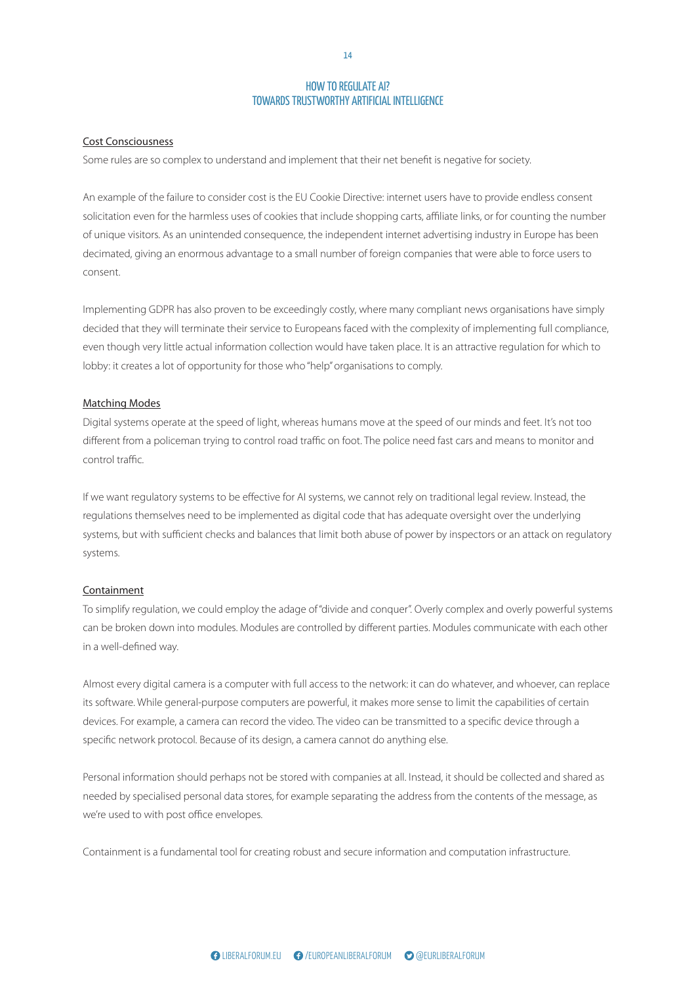#### Cost Consciousness

Some rules are so complex to understand and implement that their net benefit is negative for society.

An example of the failure to consider cost is the EU Cookie Directive: internet users have to provide endless consent solicitation even for the harmless uses of cookies that include shopping carts, affiliate links, or for counting the number of unique visitors. As an unintended consequence, the independent internet advertising industry in Europe has been decimated, giving an enormous advantage to a small number of foreign companies that were able to force users to consent.

decided that they will terminate their service to Europeans faced with the complexity of implementing full compliance,<br>even though very little actual information collection would have taken place. It is an attractive regul lobby: it creates a lot of opportunity for those who "help" organisations to comply.<br> Implementing GDPR has also proven to be exceedingly costly, where many compliant news organisations have simply even though very little actual information collection would have taken place. It is an attractive regulation for which to

#### Matching Modes

POLICY BRIEF BY JOHANNES LITH Digital systems operate at the speed of light, whereas humans move at the speed of our minds and feet. It's not too different from a policeman trying to control road traffic on foot. The police need fast cars and means to monitor and control traffic.

If we want regulatory systems to be effective for AI systems, we cannot rely on traditional legal review. Instead, the regulations themselves need to be implemented as digital code that has adequate oversight over the underlying relations and security studies. The greatest challenge systems, but man sumerent eneers und buildings th and pursuing good relations, while at the same time A discussion about the balance between deterrence systems, but with sufficient checks and balances that limit both abuse of power by inspectors or an attack on regulatory<br>. systems.

#### Containment

can be broken down into modules. Modules are controlled by different parties. Modules communicate with each other in a well-defined way. known as the Harmel report, has been the guiding To simplify regulation, we could employ the adage of "divide and conquer". Overly complex and overly powerful systems

All nost every digital carriera is a computer with full acc its software. While general-purpose computers are powerful, it makes more sense to limit the capabilities of certain devices. For example, a camera can record the video. The video can be transmitted to a specific device through a<br> specific network protocol. Because of its design, a camera cannot do anything else. Almost every digital camera is a computer with full access to the network: it can do whatever, and whoever, can replace

Personal information should perhaps not be stored with companies at all. Instead, it should be collected and shared as rapprochement in the 1990s and early 2000s between Russia and the Western and the Western relationship we're used to with post office envelopes. in relations between the West and Russia. It made needed by specialised personal data stores, for example separating the address from the contents of the message, as

Containment is a fundamental tool for creating robust and secure information and computation infrastructure.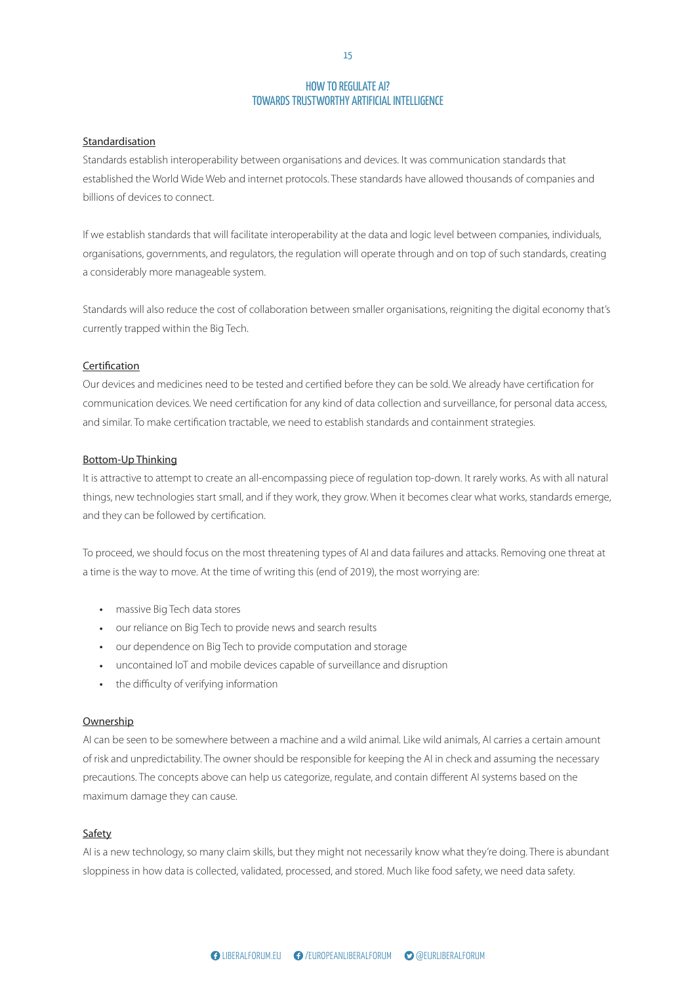#### Standardisation

Standards establish interoperability between organisations and devices. It was communication standards that established the World Wide Web and internet protocols. These standards have allowed thousands of companies and billions of devices to connect.

If we establish standards that will facilitate interoperability at the data and logic level between companies, individuals, organisations, governments, and regulators, the regulation will operate through and on top of such standards, creating a considerably more manageable system.

 $\mathbb{R}^n$  and  $\mathbb{R}^n$  are  $\mathbb{R}^n$  and  $\mathbb{R}^n$  are  $\mathbb{R}^n$  and  $\mathbb{R}^n$  are  $\mathbb{R}^n$  and  $\mathbb{R}^n$  are  $\mathbb{R}^n$  and  $\mathbb{R}^n$  are  $\mathbb{R}^n$  and  $\mathbb{R}^n$  are  $\mathbb{R}^n$  and  $\mathbb{R}^n$  are  $\mathbb{R}^n$  Standards will also reduce the cost of collaboration between smaller organisations, reigniting the digital economy that's currently trapped within the Big Tech.

#### **Certification**

<u>Ce<mark>rtification</mark></u><br>Our devices and medicines need to be tested and certified before they can be sold. We already have certification for communication devices. We need certification for any kind of data collection and surveillance, for personal data access, and similar. To make certification tractable, we need to establish standards and containment strategies.

#### Bottom-Up Thinking

THRODUCTIONS<br>It is attractive to attempt to create an all-encompassing piece of regulation top-down. It rarely works. As with all natural things, new technologies start small, and if they work, they grow. When it becomes clear what works, standards emerge, and they can be followed by certification. relations and security studies. The greatest challenge

To proceed, we should focus on the most threatening types of AI and data failures and attacks. Removing one threat at a time is the way to move. At the time of writing this (end of 2019), the most worrying are:

- massive Big Tech data stores
- our reliance on Big Tech to provide news and search results  $\frac{1}{\sqrt{2}}$ state of relations, water between the balance between the balance between the balance between the balance between the balance between the balance between the balance between the balance between the balance bet
- our dependence on Big Tech to provide computation and storage
- known as the Harmel report, has been the guiding principle for the North Atlantic Treaty Organization Atlantic Treaty Organization Control of Captus Control of • uncontained IoT and mobile devices capable of surveillance and disruption the end of the profit with an outline of a liberal with an outline of a liberal structure of a liberal structure of  $\alpha$
- the difficulty of verifying information

#### through the principle of a credible military determines of a credible military determines of a credible military determines of a credible military determines of a credible military determines of a credible military determi

**owhership**<br>AI can be seen to be somewhere between a machine and a wild animal. Like wild anima precautions. The concepts above can help us categorize, regulate, and contain different AI systems based on the rapprochement in the 1990s and early 2000s between maximum damage they can cause. AI can be seen to be somewhere between a machine and a wild animal. Like wild animals, AI carries a certain amount in relations between the West and Russia. It made of risk and unpredictability. The owner should be responsible for keeping the AI in check and assuming the necessary

#### on Russia as a future member of  $\mathcal{S}$  as a future member of  $\mathcal{S}$  and  $\mathcal{S}$  possible and  $\mathcal{S}$  and  $\mathcal{S}$  are a future member of  $\mathcal{S}$  and  $\mathcal{S}$  and  $\mathcal{S}$  are a future member of  $\mathcal{S}$  and  $\mathcal{S}$ Safety

AI is a new technology, so many claim skills, but they might not necessarily know what they're doing. There is abundant sloppiness in how data is collected, validated, processed, and stored. Much like food safety, we need data safety.

15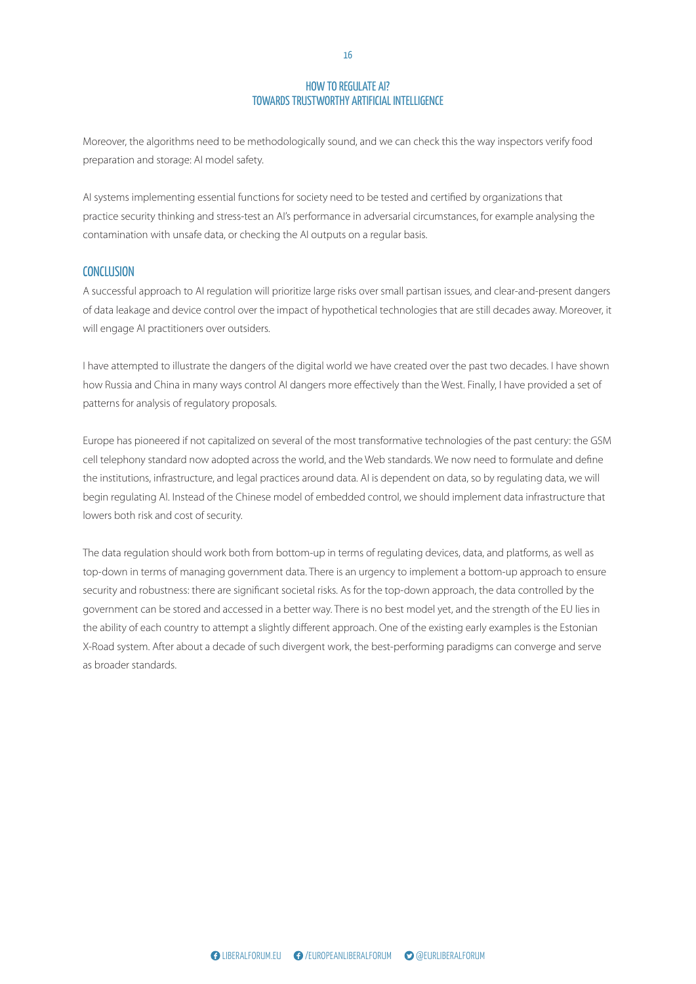$\overline{E}$ Moreover, the algorithms need to be methodologically sound, and we can check this the way inspectors verify food preparation and storage: AI model safety.

AI systems implementing essential functions for society need to be tested and certified by organizations that practice security thinking and stress-test an AI's performance in adversarial circumstances, for example analysing the contamination with unsafe data, or checking the AI outputs on a regular basis.

#### **CONCLUSION**

DETERRENCE AND DETERRENCE AND DETERMINENT ON THE SERVICE AND DISTURBANCE AND DISTURBANCE AND DISTURBANCE AND DISTURBANCE AND DISTURBANCE AND DISTURBANCE AND DISTURBANCE AND DISTURBANCE AND DISTURBANCE AND DISTURBANCE AND D A successful approach to AI regulation will prioritize large risks over small partisan issues, and clear-and-present dangers of data leakage and device control over the impact of hypothetical technologies that are still decades away. Moreover, it will engage AI practitioners over outsiders.

I have attempted to illustrate the dangers of the digital world we have created over the past two decades. I have show<br>how Russia and China in many ways control AI dangers more effectively than the West. Finally, I have pr patterns for analysis of regulatory proposals. I have attempted to illustrate the dangers of the digital world we have created over the past two decades. I have shown

and the institutions, infrastructure, and legal practices around data. AI is dependent on data, so by regulating data, we will begin regulating AI. Instead of the Chinese model of embedded control, we should implement data infrastructure that lowers both risk and cost of security. relations and security studies. The greatest challenge Europe has pioneered if not capitalized on several of the most transformative technologies of the past century: the GSM cell telephony standard now adopted across the world, and the Web standards. We now need to formulate and define

The data regulation should work both from bottom-up in terms of regulating devices, data, and platforms, as well as top-down in terms of managing government data. There is an urgency to implement a bottom-up approach to ensure security and robustness: there are significant societal risks. As for the top-down approach, the data controlled by the the ability of each country to attempt a slightly different approach. One of the existing early examples is the Estonian X-Road system. After about a decade of such divergent work, the best-performing paradigms can converge and serve known as the Harmel report of the guiding and are guiding to the guiding  $\frac{1}{2}$ principal for the North Atlantic Treaty Organization of the North Atlantic Treaty Organization of the North Atlantic Treaty Organization of the North Atlantic Treaty Organization of the North Atlantic Treaty Organization o government can be stored and accessed in a better way. There is no best model yet, and the strength of the EU lies in between the EU and NATO. These will be summarised at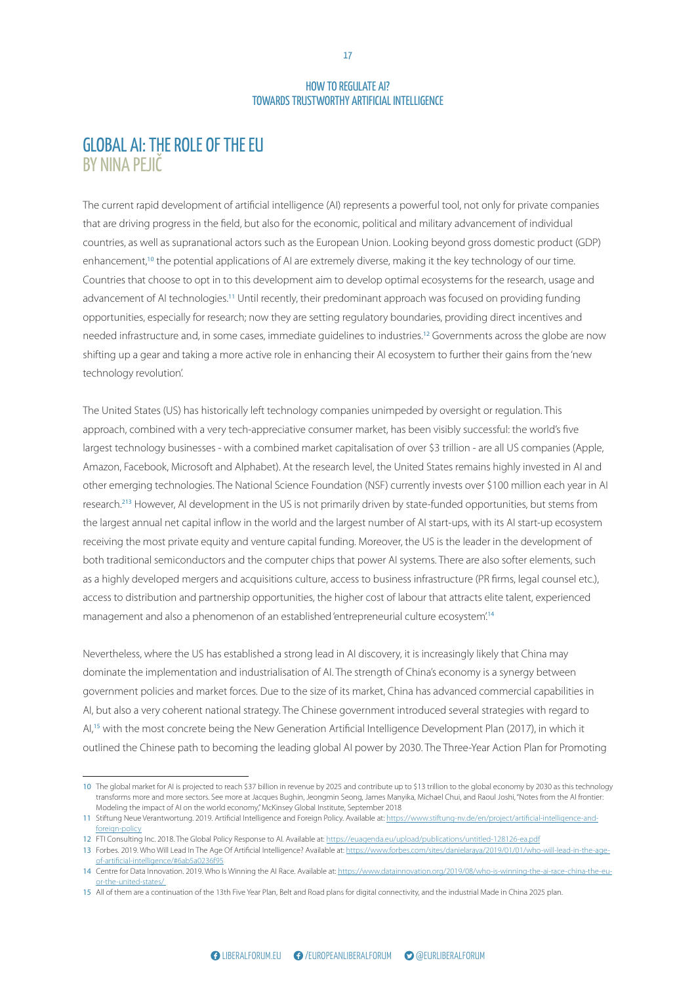## GLOBAL AI: THE ROLE OF THE EU BY NINA PEJIČ

In the cases, immediate guidelines to industries.<sup>12</sup> Governments add, in some cases, immediate guidelines to industries.<sup>12</sup> Governments additional a more active role in enhancing their Al ecosystem to further their shifting up a gear and taking a more active role in enhancing their AI ecosystem to further their gains from the 'new<br>technology revolution'.<br>. The current rapid development of artificial intelligence (AI) represents a powerful tool, not only for private companies that are driving progress in the field, but also for the economic, political and military advancement of individual countries, as well as supranational actors such as the European Union. Looking beyond gross domestic product (GDP) enhancement,<sup>10</sup> the potential applications of AI are extremely diverse, making it the key technology of our time. Countries that choose to opt in to this development aim to develop optimal ecosystems for the research, usage and advancement of AI technologies.<sup>11</sup> Until recently, their predominant approach was focused on providing funding opportunities, especially for research; now they are setting regulatory boundaries, providing direct incentives and needed infrastructure and, in some cases, immediate guidelines to industries.<sup>12</sup> Governments across the globe are now technology revolution'.

Amazon, Facebook, Microsoft and Alphabet). At the research level, the United States remains highly invested in AI and official criterying teemiologies. The national selence road research.<sup>213</sup> However, AI development in the US is not primarily driven by state-funded opportunities, but stems from the largest annual net capital inflow in the world and the largest number of AI start-ups, with its AI start-up ecosystem receiving the most private equity and venture capital funding. Moreover, the US is the leader in the development of both traditional semiconductors and the computer chips that power AI systems. There are also softer elements, such as a highly developed mergers and acquisitions culture, access to business infrastructure (PR firms, legal counsel etc.), access to distribution and partnership opportunities, the higher cost of labour that attracts elite talent, experienced management and abo a phenomenon or an establishment of the Report of the Report of the Report of the Report of a big power struggle for the space between NATO other emerging technologies. The National Science Foundation (NSF) currently invests over \$100 million each year in AI<br>. by presenting a liberal view on reasons for the current management and also a phenomenon of an established 'entrepreneurial culture ecosystem'.<sup>14</sup> The United States (US) has historically left technology companies unimpeded by oversight or regulation. This approach, combined with a very tech-appreciative consumer market, has been visibly successful: the world's five largest technology businesses - with a combined market capitalisation of over \$3 trillion - are all US companies (Apple,

Nevertheless, where the US has established a strong lead in AI discovery, it is increasingly likely that China may dominate the implementation and industrialisation of AI. The strength of China's economy is a synergy between government policies and market forces. Due to the size of its market, China has advanced commercial capabilities in AI, but also a very coherent national strategy. The Chinese government introduced several strategies with regard to AI,<sup>15</sup> with the most concrete being the New Generation Artificial Intelligence Development Plan (2017), in which it outlined the Chinese path to becoming the leading global AI power by 2030. The Three-Year Action Plan for Promoting

After the end of the cold war, there was a significant

<sup>10</sup> The global market for AI is projected to reach \$37 billion in revenue by 2025 and contribute up to \$13 trillion to the global economy by 2030 as this technology transionnis more and more sectors. See more at Jacques bugning, Jeongmin Jeong, James Man<br>Modeling the impact of AI on the world economy," McKinsey Global Institute, September 2018 transforms more and more sectors. See more at Jacques Bughin, Jeongmin Seong, James Manyika, Michael Chui, and Raoul Joshi, "Notes from the AI frontier:<br>Modeling the impact of ALon the world economy" McKinsey Global Instit

<sup>11</sup> Stiftung Neue Verantwortung. 2019. Artificial Intelligence and Foreign Policy. Available at: https://www.stiftung-nv.de/en/project/artificial-intelligence-andforeign-policy

<sup>12</sup> FTI Consulting Inc. 2018. The Global Policy Response to AI. Available at: https://euagenda.eu/upload/publications/untitled-128126-ea.pdf

<sup>13</sup> Forbes. 2019. Who Will Lead In The Age Of Artificial Intelligence? Available at: https://www.forbes.com/sites/danielaraya/2019/01/01/who-will-lead-in-the-ageof-artificial-intelligence/#6ab5a0236f9

<sup>14</sup> Centre for Data Innovation. 2019. Who Is Winning the AI Race. Available at: https://www.datainnovation.org/2019/08/who-is-winning-the-ai-race-china-the-euor-the-united-states/<br>15 All of them are a continuation of the 13th Five Year Plan, Belt and Road plans for digital connectivity, and the industrial Made in China 2025 plan. or-the-united-states/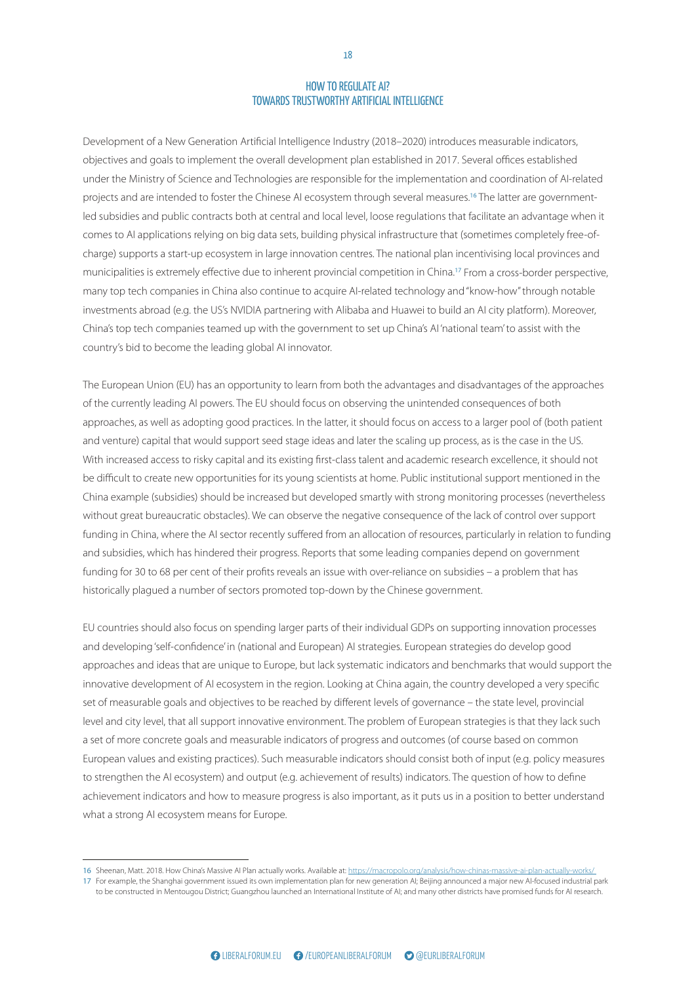$\cdot$  (2010  $\cdot$ Development of a New Generation Artificial Intelligence Industry (2018–2020) introduces measurable indicators, objectives and goals to implement the overall development plan established in 2017. Several offices established China's top tech companies teamed up with the government to set up China's AI 'national team' to assist with the<br>country's bid to become the leading global AI innovator. under the Ministry of Science and Technologies are responsible for the implementation and coordination of AI-related projects and are intended to foster the Chinese AI ecosystem through several measures.<sup>16</sup> The latter are governmentled subsidies and public contracts both at central and local level, loose regulations that facilitate an advantage when it comes to AI applications relying on big data sets, building physical infrastructure that (sometimes completely free-ofcharge) supports a start-up ecosystem in large innovation centres. The national plan incentivising local provinces and municipalities is extremely effective due to inherent provincial competition in China.<sup>17</sup> From a cross-border perspective, many top tech companies in China also continue to acquire AI-related technology and "know-how" through notable investments abroad (e.g. the US's NVIDIA partnering with Alibaba and Huawei to build an AI city platform). Moreover, country's bid to become the leading global AI innovator.

be difficult to create new opportunities for its young scientists at home. Public institutional support mentioned in the China example (subsidies) should be increased but developed smartly with strong monitoring processes (nevertheless without great bureaucratic obstacles). We can observe the negative consequence of the lack of control over support relations and security studies. The greatest challenge is transmitted and a better between building trust of the balance building strong trust of the strong trust of and subsidies, which has hindered their progress. Reports that some leading companies depend on government funding for 30 to 68 per cent of their profits reveals an issue with over-reliance on subsidies – a problem that has historically plagued a number of sectors promoted top-down by the Chinese government. A discussion about the balance between deterrence funding in China, where the AI sector recently suffered from an allocation of resources, particularly in relation to funding<br> -<br>The European Union (EU) has an opportunity to learn from both the advantages and disadvantages of the approaches of the currently leading AI powers. The EU should focus on observing the unintended consequences of both or the approaches, as well as adopting good practices. In the latter, it should focus on access to a larger pool of (both patient and venture) capital that would support seed stage ideas and later the scaling up process, as is the case in the US. With increased access to risky capital and its existing first-class talent and academic research excellence, it should not

EU countries should also focus on spending larger parts of their individual GDPs on supporting innovation processes and developing 'self-confidence' in (national and European) AI strategies. European strategies do develop good known as the Harmel report, has been the guiding approaches and ideas that are amplie to Edrope, but innovative development of AI ecosystem in the region. Looking at China again, the country developed a very specific set of measurable goals and objectives to be reached by different levels of governance – the state level, provincial level and city level, that all support innovative environment. The problem of European strategies is that they lack such<br> a set of more concrete goals and measurable indicators of progress and outcomes (of course based on common to strengthen the AI ecosystem) and output (e.g. achievement of results) indicators. The question of how to define rapprochement in the 1990s and early 2000s between achievement indicators and now to measure progress. what a strong AI ecosystem means for Europe. between the EU and NATO. These will be summarised at approaches and ideas that are unique to Europe, but lack systematic indicators and benchmarks that would support the<br> in relations between the West and Russia. It made achievement indicators and how to measure progress is also important, as it puts us in a position to better understand<br> European values and existing practices). Such measurable indicators should consist both of input (e.g. policy measures

<sup>16</sup> Sheenan, Matt. 2018. How China's Massive AI Plan actually works. Available at: https://macropolo.org/analysis/how-chinas-massive-ai-plan-actually-works/

<sup>17</sup> For example, the Shanghai government issued its own implementation plan for new generation Al; Beijing announced a major new Al-focused industrial park<br>To be constructed in Montourau District: Cuangzhou Jaunchod an Inte to be constructed in Mentougou District; Guangzhou launched an International Institute of AI; and many other districts have promised funds for AI research.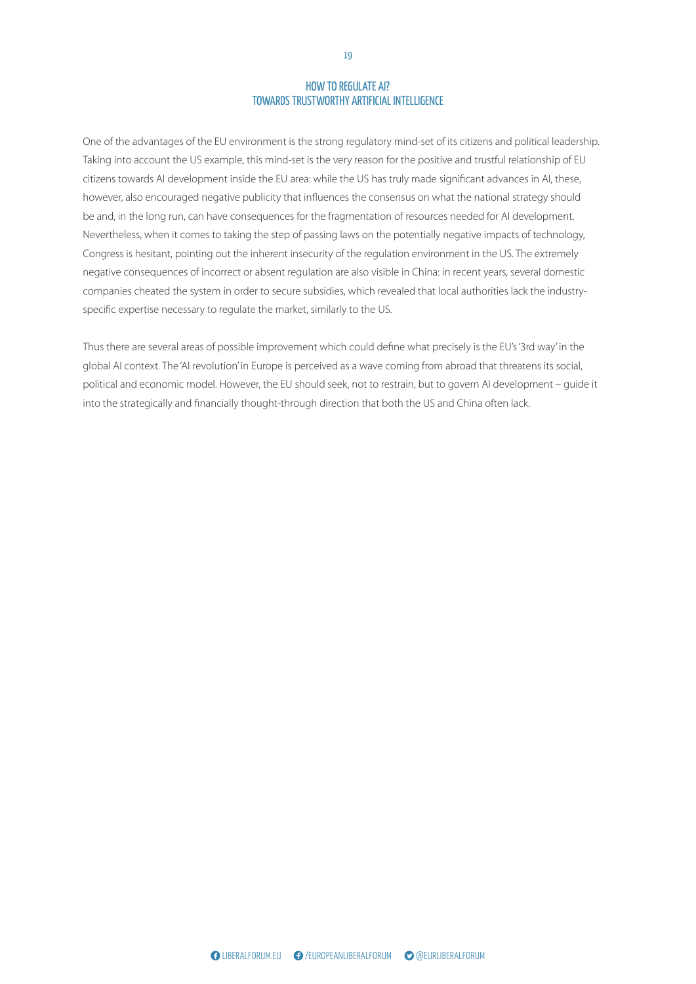$\frac{1}{2}$ One of the advantages of the EU environment is the strong regulatory mind-set of its citizens and political leadership. Taking into account the US example, this mind-set is the very reason for the positive and trustful relationship of EU citizens towards AI development inside the EU area: while the US has truly made significant advances in AI, these, however, also encouraged negative publicity that influences the consensus on what the national strategy should be and, in the long run, can have consequences for the fragmentation of resources needed for AI development. Nevertheless, when it comes to taking the step of passing laws on the potentially negative impacts of technology, Congress is hesitant, pointing out the inherent insecurity of the regulation environment in the US. The extremely negative consequences of incorrect or absent regulation are also visible in China: in recent years, several domestic companies cheated the system in order to secure subsidies, which revealed that local authorities lack the industryspecific expertise necessary to regulate the market, similarly to the US.

Thus there are several areas of possible improvement which could define what precisely is the EU's '3rd way' in the global AI context. The 'AI revolution' in Europe is perceived as a wave coming from abroad that threatens its social,<br>political and economic model. However, the EU should seek, not to restrain, but to govern AI development into the strategically and financially thought-through direction that both the US and China often lack.<br> political and economic model. However, the EU should seek, not to restrain, but to govern AI development – guide it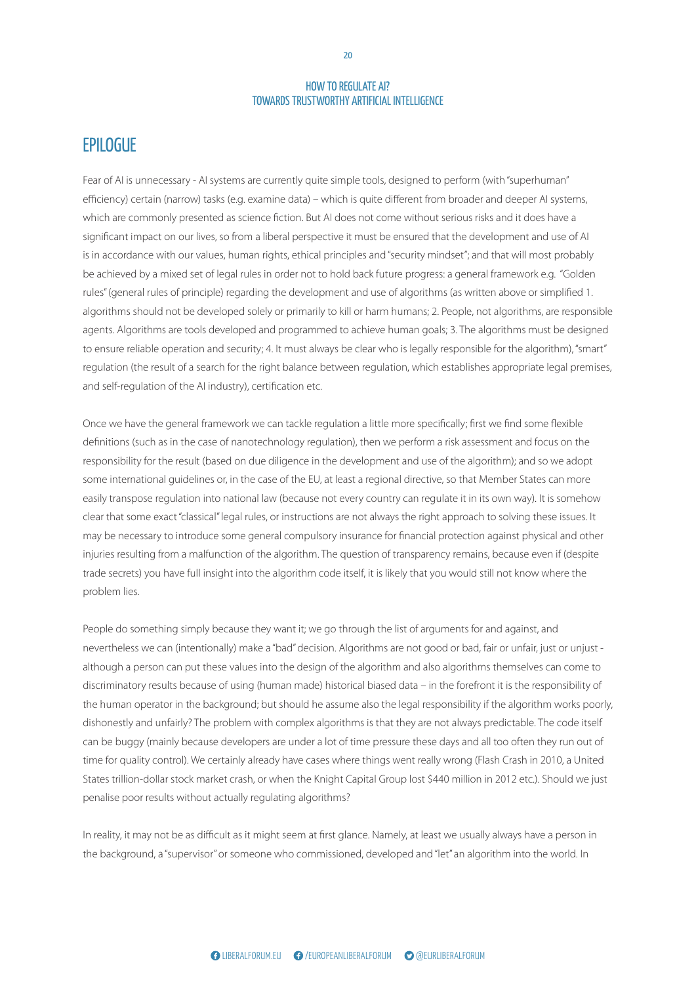## **EPILOGUE**

agents. Algorithms are tools developed and programmed to achieve human goals; 3. The algorithms must be designed<br>to ensure reliable operation and security; 4. It must always be clear who is legally responsible for the algo regulation (the result of a search for the right balance between regulation, which establishes appropriate legal premises,<br>and self-regulation of the AI industry), certification etc. Fear of AI is unnecessary - AI systems are currently quite simple tools, designed to perform (with "superhuman" efficiency) certain (narrow) tasks (e.g. examine data) – which is quite different from broader and deeper AI systems, which are commonly presented as science fiction. But AI does not come without serious risks and it does have a significant impact on our lives, so from a liberal perspective it must be ensured that the development and use of AI is in accordance with our values, human rights, ethical principles and "security mindset"; and that will most probably be achieved by a mixed set of legal rules in order not to hold back future progress: a general framework e.g. "Golden rules" (general rules of principle) regarding the development and use of algorithms (as written above or simplified 1. algorithms should not be developed solely or primarily to kill or harm humans; 2. People, not algorithms, are responsible to ensure reliable operation and security; 4. It must always be clear who is legally responsible for the algorithm), "smart" and self-regulation of the AI industry), certification etc.

responsising for the result pased on due unigence in the development and dse or the algorithm), and so we duopt<br>some international guidelines or, in the case of the EU, at least a regional directive, so that Member States easily transpose regulation into national law (because not every country can regulate it in its own way). It is somehow worldviews is a classical building block of international building block of international building block of in<br>The classical building block of international building block of international building block of international clear that some exact "classical" legal rules, or instructions are not always the right approach to solving these issues. It may be necessary to introduce some general compulsory insurance for financial protection against physical and other injuries resulting from a malfunction of the algorithm. The question of transparency remains, because even if (despite trade secrets) you have full insight into the algorithm code itself, it is likely that you would still not know where the problem lies. Once we have the general framework we can tackle regulation a little more specifically; first we find some flexible definitions (such as in the case of nanotechnology regulation), then we perform a risk assessment and focus on the responsibility for the result (based on due diligence in the development and use of the algorithm); and so we adopt

People do something simply because they want it; we go through the list of arguments for and against, and nevertheless we can (intentionally) make a "bad" decision. Algorithms are not good or bad, fair or unfair, just or unjust hereful case we can intermotionly make a bad acc annough a person can put these values linto the uest discriminatory results because of using (human made) historical biased data – in the forefront it is the responsibility of the human operator in the background; but should he assume also the legal responsibility if the algorithm works poorly, dishonestly and unfairly? The problem with complex algorithms is that they are not always predictable. The code itself can be buggy (mainly because developers are under a lot of time pressure these days and all too often they run out of  $\sigma$  the end of the cold war, the cold was a significant was a significant was a significant was a significant was a significant was a significant was a significant was a significant was a significant was a significant wa rapprochement in the 1990s and early 2000s between the 1990s penalise poor results without actually regulating algorithms? between the EU and States will be summit just of anyward although a person can put these values into the design of the algorithm and also algorithms themselves can come to The events in Ukraine in early 2014 led to a major shift States trillion-dollar stock market crash, or when the Knight Capital Group lost \$440 million in 2012 etc.). Should we just<br>. time for quality control). We certainly already have cases where things went really wrong (Flash Crash in 2010, a United

In reality, it may not be as difficult as it might seem at first glance. Namely, at least we usually always have a person in the background, a "supervisor" or someone who commissioned, developed and "let" an algorithm into the world. In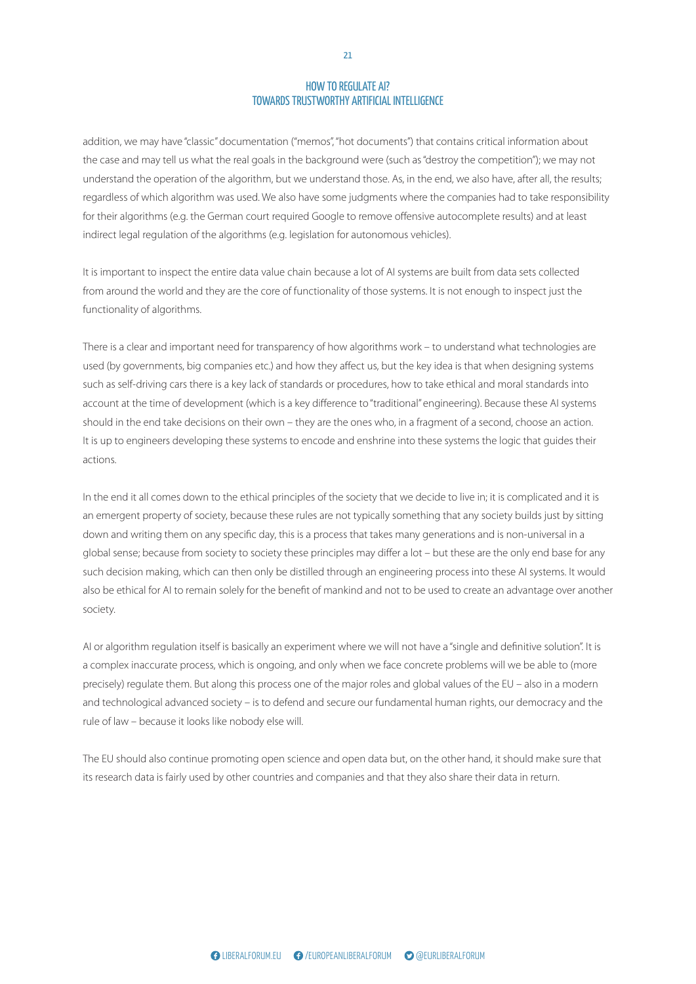$\epsilon$ addition, we may have "classic" documentation ("memos", "hot documents") that contains critical information about the case and may tell us what the real goals in the background were (such as "destroy the competition"); we may not understand the operation of the algorithm, but we understand those. As, in the end, we also have, after all, the results; regardless of which algorithm was used. We also have some judgments where the companies had to take responsibility for their algorithms (e.g. the German court required Google to remove offensive autocomplete results) and at least indirect legal regulation of the algorithms (e.g. legislation for autonomous vehicles).

It is important to inspect the entire data value chain because a lot of AI systems are built from data sets collected from around the world and they are the core of functionality of those systems. It is not enough to inspect just the functionality of algorithms.

There is a clear and important need for transparency of how algorithms work – to understand what technologies are<br>used (by governments, big companies etc.) and how they affect us, but the key idea is that when designing systems<br>such as self-driving cars there is a key lack of standards or procedures, how to take ethical and moral stan account at the time of development (which is a key difference to "traditional" engineering). Because these AI systems such as self-driving cars there is a key lack of standards or procedures, how to take ethical and moral standards into should in the end take decisions on their own – they are the ones who, in a fragment of a second, choose an action. It is up to engineers developing these systems to encode and enshrine into these systems the logic that guides their actions.

In the end it all comes down to the ethical principles of the society that we decide to live in; it is complicated and it is an emergent property of society, because these rules are not typically something that any society builds just by sitting relations and security studies. The greatest challenge abalance a balance building trust of the specific day, this is t global sense; because from society to society these principles may differ a lot – but these are the only end base for any such decision making, which can then only be distilled through an engineering process into these AI systems. It would also be ethical for AI to remain solely for the benefit of mankind and not to be used to create an advantage over another A discussion about the balance between deterrence down and writing them on any specific day, this is a process that takes many generations and is non-universal in a<br>. society.

Al or algorithm regulation itself is basically an experiment where we will not have a "single and definitive solution". It is known as the Harmel report, has been the guiding a complex maccurate process, which is origoing, and precisely) regulate them. But along this process one of the major roles and global values of the EU – also in a modern and technological advanced society – is to defend and secure our fundamental human rights, our democracy and the rule of law – because it looks like nobody else will. between the EU and NATO. These will be summarised at a complex inaccurate process, which is ongoing, and only when we face concrete problems will we be able to (more<br>

its research data is fairly used by other countries and companies and that they also share their data in return. rapprochement in the 1990s and early 2000s between  $\mathcal{L}$  relations between the West and Russia. It made  $\mathcal{L}$ The EU should also continue promoting open science and open data but, on the other hand, it should make sure that

21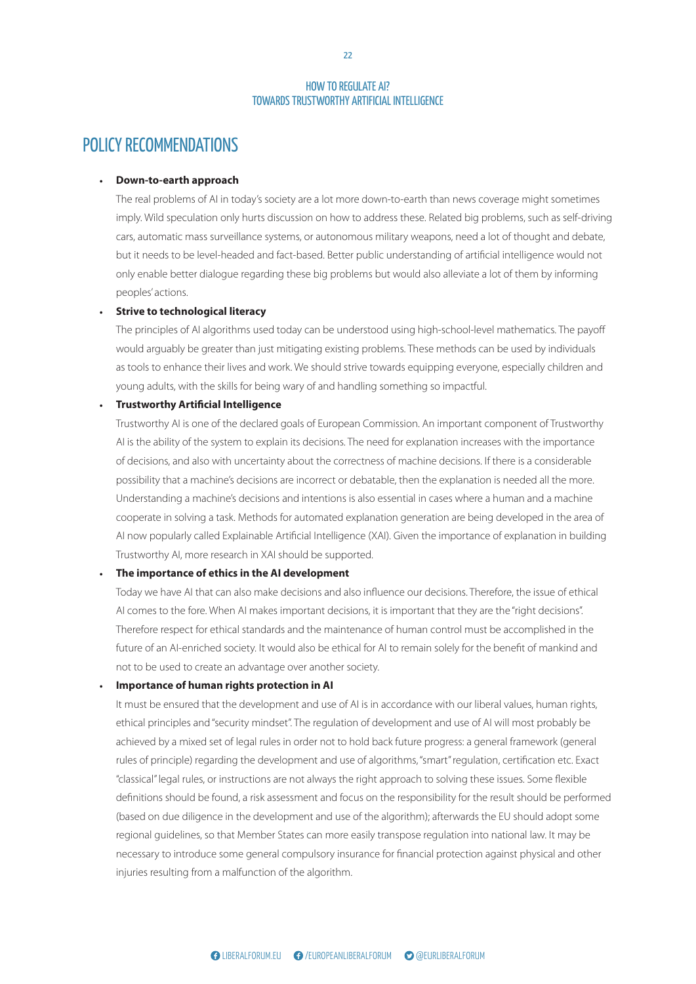## POLICY RECOMMENDATIONS

#### • **Down-to-earth approach**

The real problems of AI in today's society are a lot more down-to-earth than news coverage might sometimes imply. Wild speculation only hurts discussion on how to address these. Related big problems, such as self-driving cars, automatic mass surveillance systems, or autonomous military weapons, need a lot of thought and debate, but it needs to be level-headed and fact-based. Better public understanding of artificial intelligence would not only enable better dialogue regarding these big problems but would also alleviate a lot of them by informing peoples' actions.

#### • **Strive to technological literacy**

The principles of AI algorithms used today can be understood using high-school-level mathematics. The payc<br>would arguably be greater than just mitigating existing problems. These methods can be used by individuals as tools to enhance their lives and work. We should strive towards equipping everyone, especially children and<br>young adults, with the skills for being wary of and handling something so impactful. The principles of AI algorithms used today can be understood using high-school-level mathematics. The payoff young adults, with the skills for being wary of and handling something so impactful.

# • Trustworthy Artificial Intelligence

of decisions, and also with uncertainty about the correctness of machine decisions. If there is a considerable<br> Understanding a machine's decisions and intentions is also essential in cases where a human and a machine worldviews is a classical building block of international building block of international building block of in cooperate in solving a task. Methods for automated explanation generation are being developed in the area of AI now popularly called Explainable Artificial Intelligence (XAI). Given the importance of explanation in building Trustworthy AI, more research in XAI should be supported. possibility that a machine's decisions are incorrect or debatable, then the explanation is needed all the more. between the European Union (EU) and Russia are also are also are also are also are also are also are also are a Trustworthy AI is one of the declared goals of European Commission. An important component of Trustworthy AI is the ability of the system to explain its decisions. The need for explanation increases with the importance

#### **• The importance of ethics in the AI development**

Today we have AI that can also make decisions and also influence our decisions. Therefore, the issue of ethical Therefore respect for ethical standards and the maintenance of human control must be accomplished in the Council on the Future Tasks of the Alliance, better known as the Harmel report of the guiding the guiding the guiding and disc not to be used to create an advantage over another society. AI comes to the fore. When AI makes important decisions, it is important that they are the "right decisions". deterrence and dialogue, as well as the division of tasks future of an AI-enriched society. It would also be ethical for AI to remain solely for the benefit of mankind and<br>.  $\mathsf{ct}(\mathsf{y}, \mathsf{y})$ 

### **•** Importance of human rights protection in AI

It must be ensured that the development and use of AI is in accordance with our liberal values, human rights, ethical principles and "security mindset". The regulation of development and use of AI will most probably be achieved by a mixed set of legal rules in order not to hold back future progress: a general framework (general After the end of the cold war, there was a significant rapprochement in the 1990s and early 2000s between definitions should be found, a risk assessment and focus on the responsibility for the result should be performed (based on due diligence in the development and use of the algorithm); afterwards the EU should adopt some regional guidelines, so that Member States can more easily transpose regulation into national law. It may be necessary to introduce some general compulsory insurance for financial protection against physical and other injuries resulting from a malfunction of the algorithm. The events in Ukraine in early 2014 led to a major shift "classical" legal rules, or instructions are not always the right approach to solving these issues. Some flexible<br>rules of principle) regarding the development and use of algorithms, "smart" regulation, certification etc. Exact